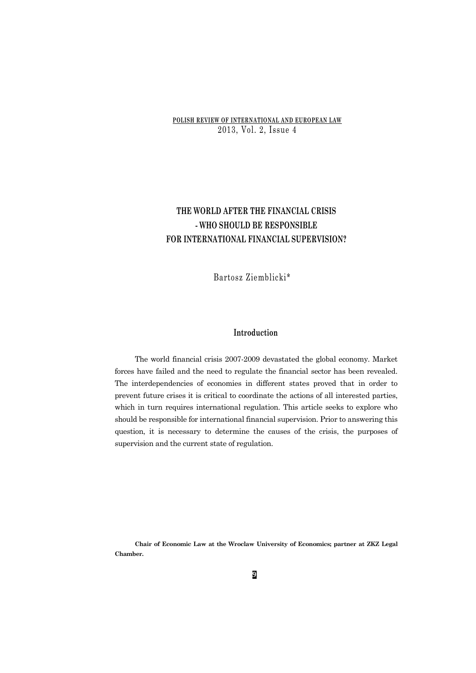## **POLISH REVIEW OF INTERNATIONAL AND EUROPEAN LAW** 2013, Vol. 2, Issue 4

# **THE WORLD AFTER THE FINANCIAL CRISIS - WHO SHOULD BE RESPONSIBLE FOR INTERNATIONAL FINANCIAL SUPERVISION?**

Bartosz Ziemblicki\*

## **Introduction**

The world financial crisis 2007-2009 devastated the global economy. Market forces have failed and the need to regulate the financial sector has been revealed. The interdependencies of economies in different states proved that in order to prevent future crises it is critical to coordinate the actions of all interested parties, which in turn requires international regulation. This article seeks to explore who should be responsible for international financial supervision. Prior to answering this question, it is necessary to determine the causes of the crisis, the purposes of supervision and the current state of regulation.

**Chair of Economic Law at the Wroclaw University of Economics; partner at ZKZ Legal Chamber.**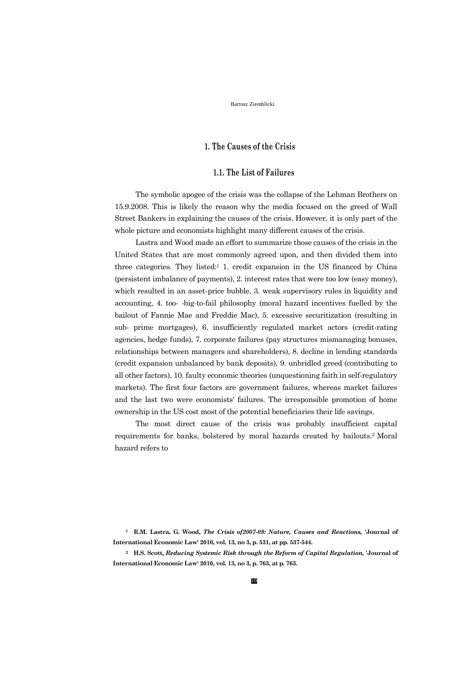## **1. The Causes of the Crisis**

## **1.1. The List of Failures**

The symbolic apogee of the crisis was the collapse of the Lehman Brothers on 15.9.2008. This is likely the reason why the media focused on the greed of Wall Street Bankers in explaining the causes of the crisis. However, it is only part of the whole picture and economists highlight many different causes of the crisis.

Lastra and Wood made an effort to summarize those causes of the crisis in the United States that are most commonly agreed upon, and then divided them into three categories. They listed:<sup>1</sup> 1. credit expansion in the US financed by China (persistent imbalance of payments), 2. interest rates that were too low (easy money), which resulted in an asset-price bubble, 3. weak supervisory rules in liquidity and accounting, 4. too- -big-to-fail philosophy (moral hazard incentives fuelled by the bailout of Fannie Mae and Freddie Mac), 5. excessive securitization (resulting in sub- prime mortgages), 6. insufficiently regulated market actors (credit-rating agencies, hedge funds), 7. corporate failures (pay structures mismanaging bonuses, relationships between managers and shareholders), 8. decline in lending standards (credit expansion unbalanced by bank deposits), 9. unbridled greed (contributing to all other factors), 10. faulty economic theories (unquestioning faith in self-regulatory markets). The first four factors are government failures, whereas market failures and the last two were economists' failures. The irresponsible promotion of home ownership in the US cost most of the potential beneficiaries their life savings.

The most direct cause of the crisis was probably insufficient capital requirements for banks, bolstered by moral hazards created by bailouts.2 Moral hazard refers to

**<sup>1</sup> R.M. Lastra, G. Wood,** *The Crisis of2007-09: Nature, Causes and Reactions,* **'Journal of International Economic Law' 2010, vol. 13, no 3, p. 531, at pp. 537-544.**

**<sup>2</sup> H.S. Scott,** *Reducing Systemic Risk through the Reform of Capital Regulation,* **'Journal of International Economic Law' 2010, vol. 13, no 3, p. 763, at p. 763.**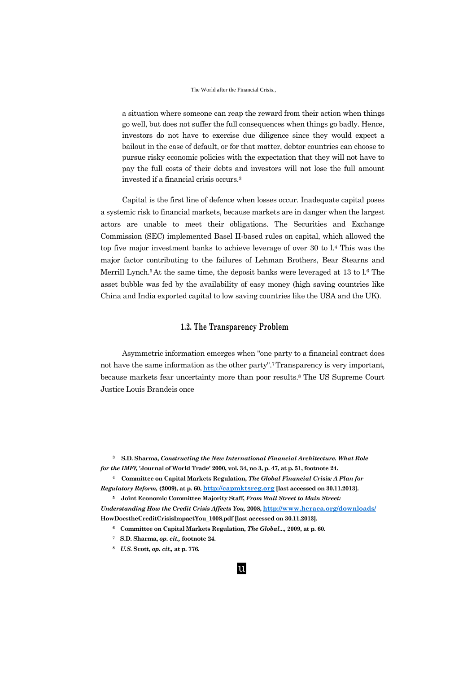#### The World after the Financial Crisis.,

a situation where someone can reap the reward from their action when things go well, but does not suffer the full consequences when things go badly. Hence, investors do not have to exercise due diligence since they would expect a bailout in the case of default, or for that matter, debtor countries can choose to pursue risky economic policies with the expectation that they will not have to pay the full costs of their debts and investors will not lose the full amount invested if a financial crisis occurs.<sup>3</sup>

Capital is the first line of defence when losses occur. Inadequate capital poses a systemic risk to financial markets, because markets are in danger when the largest actors are unable to meet their obligations. The Securities and Exchange Commission (SEC) implemented Basel II-based rules on capital, which allowed the top five major investment banks to achieve leverage of over 30 to l.<sup>4</sup> This was the major factor contributing to the failures of Lehman Brothers, Bear Stearns and Merrill Lynch.<sup>5</sup> At the same time, the deposit banks were leveraged at  $13$  to  $1.6$  The asset bubble was fed by the availability of easy money (high saving countries like China and India exported capital to low saving countries like the USA and the UK).

## **1.2. The Transparency Problem**

Asymmetric information emerges when "one party to a financial contract does not have the same information as the other party".7 Transparency is very important, because markets fear uncertainty more than poor results.<sup>8</sup> The US Supreme Court Justice Louis Brandeis once

**<sup>3</sup> S.D. Sharma,** *Constructing the New International Financial Architecture. What Role for the IMF?,* **'Journal of World Trade' 2000, vol. 34, no 3, p. 47, at p. 51, footnote 24.**

**<sup>4</sup> Committee on Capital Markets Regulation,** *The Global Financial Crisis: A Plan for Regulatory Reform,* **(2009), at p. 60, [http://capmktsreg.org](http://capmktsreg.org/) [last accessed on 30.11.2013].**

**<sup>5</sup> Joint Economic Committee Majority Staff,** *From Wall Street to Main Street: Understanding How the Credit Crisis Affects You,* **2008, <http://www.heraca.org/downloads/> HowDoestheCreditCrisisImpactYou\_1008.pdf [last accessed on 30.11.2013].**

- **<sup>6</sup> Committee on Capital Markets Regulation,** *The Global...,* **2009, at p. 60.**
- **<sup>7</sup> S.D. Sharma,** *op. cit.,* **footnote 24.**
- **<sup>8</sup>** *U.S.* **Scott,** *op. cit.,* **at p. 776.**

## u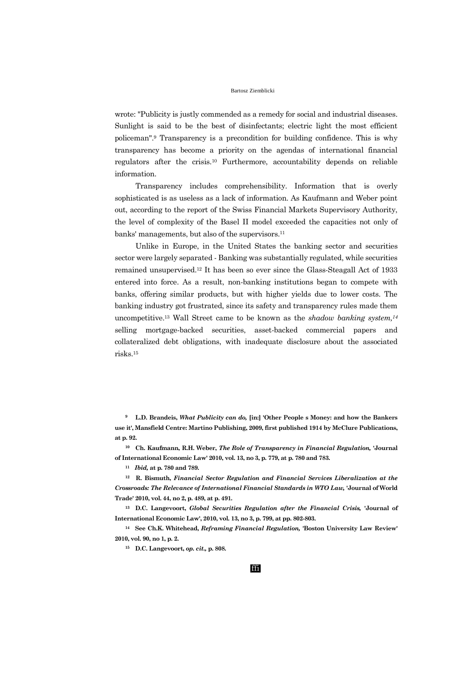wrote: "Publicity is justly commended as a remedy for social and industrial diseases. Sunlight is said to be the best of disinfectants; electric light the most efficient policeman".<sup>9</sup> Transparency is a precondition for building confidence. This is why transparency has become a priority on the agendas of international financial regulators after the crisis.<sup>10</sup> Furthermore, accountability depends on reliable information.

Transparency includes comprehensibility. Information that is overly sophisticated is as useless as a lack of information. As Kaufmann and Weber point out, according to the report of the Swiss Financial Markets Supervisory Authority, the level of complexity of the Basel II model exceeded the capacities not only of banks' managements, but also of the supervisors.<sup>11</sup>

Unlike in Europe, in the United States the banking sector and securities sector were largely separated - Banking was substantially regulated, while securities remained unsupervised.<sup>12</sup> It has been so ever since the Glass-Steagall Act of 1933 entered into force. As a result, non-banking institutions began to compete with banks, offering similar products, but with higher yields due to lower costs. The banking industry got frustrated, since its safety and transparency rules made them uncompetitive.<sup>13</sup> Wall Street came to be known as the *shadow banking system,<sup>14</sup>* selling mortgage-backed securities, asset-backed commercial papers and collateralized debt obligations, with inadequate disclosure about the associated risks.<sup>15</sup>

**<sup>9</sup> L.D. Brandeis,** *What Publicity can do,* **[in:] 'Other People s Money: and how the Bankers use it', Mansfield Centre: Martino Publishing, 2009, first published 1914 by McClure Publications, at p. 92.**

**<sup>10</sup> Ch. Kaufmann, R.H. Weber,** *The Role of Transparency in Financial Regulation,* **'Journal of International Economic Law' 2010, vol. 13, no 3, p. 779, at p. 780 and 783.**

**<sup>11</sup>** *Ibid,* **at p. 780 and 789.**

**<sup>12</sup> R. Bismuth,** *Financial Sector Regulation and Financial Services Liberalization at the Crossroads: The Relevance of International Financial Standards in WTO Law,* **'Journal of World Trade' 2010, vol. 44, no 2, p. 489, at p. 491.**

**<sup>13</sup> D.C. Langevoort,** *Global Securities Regulation after the Financial Crisis,* **'Journal of International Economic Law', 2010, vol. 13, no 3, p. 799, at pp. 802-803.**

**<sup>14</sup> See Ch.K. Whitehead,** *Reframing Financial Regulation,* **'Boston University Law Review' 2010, vol. 90, no 1, p. 2.**

**<sup>15</sup> D.C. Langevoort,** *op. cit.,* **p. 808.**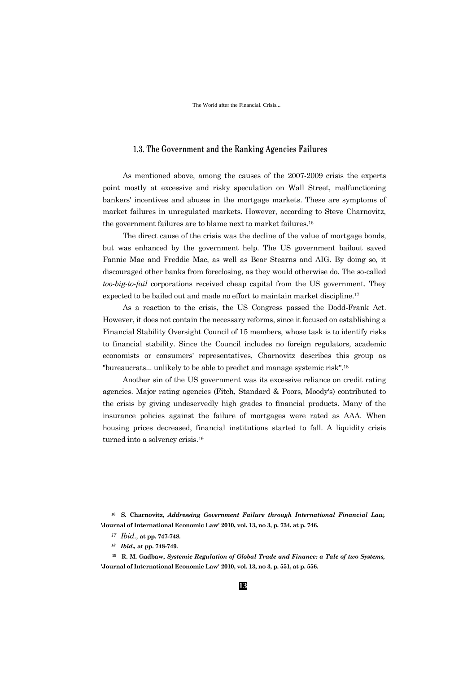The World after the Financial. Crisis...

## **1.3. The Government and the Ranking Agencies Failures**

As mentioned above, among the causes of the 2007-2009 crisis the experts point mostly at excessive and risky speculation on Wall Street, malfunctioning bankers' incentives and abuses in the mortgage markets. These are symptoms of market failures in unregulated markets. However, according to Steve Charnovitz, the government failures are to blame next to market failures.<sup>16</sup>

The direct cause of the crisis was the decline of the value of mortgage bonds, but was enhanced by the government help. The US government bailout saved Fannie Mae and Freddie Mac, as well as Bear Stearns and AIG. By doing so, it discouraged other banks from foreclosing, as they would otherwise do. The so-called *too-big-to-fail* corporations received cheap capital from the US government. They expected to be bailed out and made no effort to maintain market discipline.<sup>17</sup>

As a reaction to the crisis, the US Congress passed the Dodd-Frank Act. However, it does not contain the necessary reforms, since it focused on establishing a Financial Stability Oversight Council of 15 members, whose task is to identify risks to financial stability. Since the Council includes no foreign regulators, academic economists or consumers' representatives, Charnovitz describes this group as "bureaucrats... unlikely to be able to predict and manage systemic risk".<sup>18</sup>

Another sin of the US government was its excessive reliance on credit rating agencies. Major rating agencies (Fitch, Standard & Poors, Moody's) contributed to the crisis by giving undeservedly high grades to financial products. Many of the insurance policies against the failure of mortgages were rated as AAA. When housing prices decreased, financial institutions started to fall. A liquidity crisis turned into a solvency crisis.<sup>19</sup>

**<sup>16</sup> S. Charnovitz,** *Addressing Government Failure through International Financial Law,*  **'Journal of International Economic Law' 2010, vol. 13, no 3, p. 734, at p. 746.**

- *<sup>17</sup> Ibid.,* **at pp. 747-748.**
- *<sup>18</sup> Ibid.,* **at pp. 748-749.**

**<sup>19</sup> R. M. Gadbaw,** *Systemic Regulation of Global Trade and Finance: a Tale of two Systems,* **'Journal of International Economic Law' 2010, vol. 13, no 3, p. 551, at p. 556.**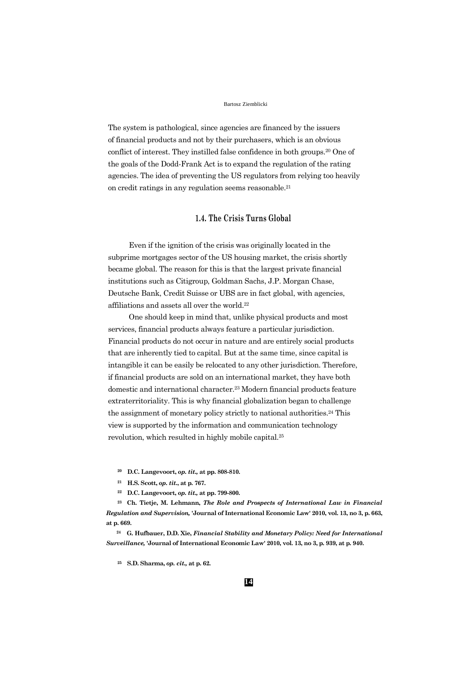The system is pathological, since agencies are financed by the issuers of financial products and not by their purchasers, which is an obvious conflict of interest. They instilled false confidence in both groups.<sup>20</sup> One of the goals of the Dodd-Frank Act is to expand the regulation of the rating agencies. The idea of preventing the US regulators from relying too heavily on credit ratings in any regulation seems reasonable.<sup>21</sup>

## **1.4. The Crisis Turns Global**

Even if the ignition of the crisis was originally located in the subprime mortgages sector of the US housing market, the crisis shortly became global. The reason for this is that the largest private financial institutions such as Citigroup, Goldman Sachs, J.P. Morgan Chase, Deutsche Bank, Credit Suisse or UBS are in fact global, with agencies, affiliations and assets all over the world.<sup>22</sup>

One should keep in mind that, unlike physical products and most services, financial products always feature a particular jurisdiction. Financial products do not occur in nature and are entirely social products that are inherently tied to capital. But at the same time, since capital is intangible it can be easily be relocated to any other jurisdiction. Therefore, if financial products are sold on an international market, they have both domestic and international character.<sup>23</sup> Modern financial products feature extraterritoriality. This is why financial globalization began to challenge the assignment of monetary policy strictly to national authorities.<sup>24</sup> This view is supported by the information and communication technology revolution, which resulted in highly mobile capital.<sup>25</sup>

- **<sup>20</sup> D.C. Langevoort,** *op. tit.,* **at pp. 808-810.**
- **<sup>21</sup> H.S. Scott,** *op. tit.***, at p. 767.**
- **<sup>22</sup> D.C. Langevoort,** *op. tit.,* **at pp. 799-800.**

**<sup>23</sup> Ch. Tietje, M. Lehmann,** *The Role and Prospects of International Law in Financial Regulation and Supervision,* **'Journal of International Economic Law' 2010, vol. 13, no 3, p. 663, at p. 669.**

**<sup>24</sup> G. Hufbauer, D.D. Xie,** *Financial Stability and Monetary Policy: Need for International Surveillance,* **'Journal of International Economic Law' 2010, vol. 13, no 3, p. 939, at p. 940.**

**<sup>25</sup> S.D. Sharma,** *op. cit.,* **at p. 62.**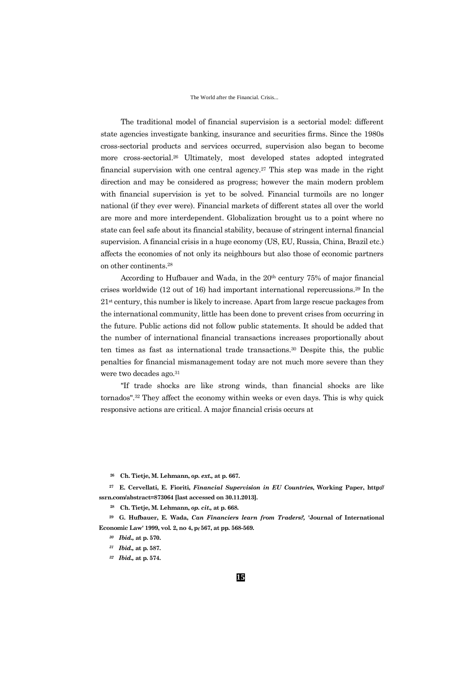#### The World after the Financial. Crisis...

The traditional model of financial supervision is a sectorial model: different state agencies investigate banking, insurance and securities firms. Since the 1980s cross-sectorial products and services occurred, supervision also began to become more cross-sectorial.<sup>26</sup> Ultimately, most developed states adopted integrated financial supervision with one central agency.<sup>27</sup> This step was made in the right direction and may be considered as progress; however the main modern problem with financial supervision is yet to be solved. Financial turmoils are no longer national (if they ever were). Financial markets of different states all over the world are more and more interdependent. Globalization brought us to a point where no state can feel safe about its financial stability, because of stringent internal financial supervision. A financial crisis in a huge economy (US, EU, Russia, China, Brazil etc.) affects the economies of not only its neighbours but also those of economic partners on other continents.<sup>28</sup>

According to Hufbauer and Wada, in the  $20<sup>th</sup>$  century 75% of major financial crises worldwide (12 out of 16) had important international repercussions.<sup>29</sup> In the  $21<sup>st</sup>$  century, this number is likely to increase. Apart from large rescue packages from the international community, little has been done to prevent crises from occurring in the future. Public actions did not follow public statements. It should be added that the number of international financial transactions increases proportionally about ten times as fast as international trade transactions.<sup>30</sup> Despite this, the public penalties for financial mismanagement today are not much more severe than they were two decades ago.<sup>31</sup>

"If trade shocks are like strong winds, than financial shocks are like tornados".<sup>32</sup> They affect the economy within weeks or even days. This is why quick responsive actions are critical. A major financial crisis occurs at

**<sup>26</sup> Ch. Tietje, M. Lehmann,** *op. ext.,* **at p. 667.**

**<sup>27</sup> E. Cervellati, E. Fioriti,** *Financial Supervision in EU Countries***, Working Paper, http:// ssrn.com/abstract=873064 [last accessed on 30.11.2013].**

**<sup>28</sup> Ch. Tietje, M. Lehmann,** *op. cit.,* **at p. 668.**

**<sup>29</sup> G. Hufbauer, E. Wada,** *Can Financiers learn from Traders?,* **'Journal of International Economic Law' 1999, vol. 2, no 4, p<sup>f</sup> 567, at pp. 568-569.**

- *<sup>31</sup> Ibid.,* **at p. 587.**
- *<sup>32</sup> Ibid.,* **at p. 574.**

*<sup>30</sup> Ibid.,* **at p. 570.**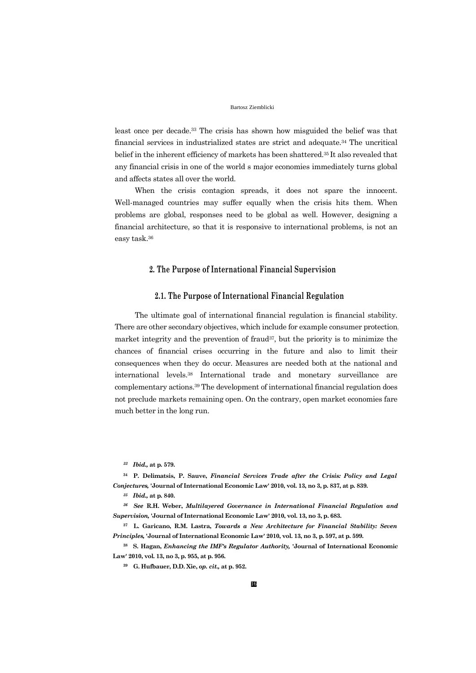least once per decade.<sup>33</sup> The crisis has shown how misguided the belief was that financial services in industrialized states are strict and adequate.<sup>34</sup> The uncritical belief in the inherent efficiency of markets has been shattered.35 It also revealed that any financial crisis in one of the world s major economies immediately turns global and affects states all over the world.

When the crisis contagion spreads, it does not spare the innocent. Well-managed countries may suffer equally when the crisis hits them. When problems are global, responses need to be global as well. However, designing a financial architecture, so that it is responsive to international problems, is not an easy task.<sup>36</sup>

## **2. The Purpose of International Financial Supervision**

## **2.1. The Purpose of International Financial Regulation**

The ultimate goal of international financial regulation is financial stability. There are other secondary objectives, which include for example consumer protection, market integrity and the prevention of fraud37, but the priority is to minimize the chances of financial crises occurring in the future and also to limit their consequences when they do occur. Measures are needed both at the national and international levels.<sup>38</sup> International trade and monetary surveillance are complementary actions.<sup>39</sup> The development of international financial regulation does not preclude markets remaining open. On the contrary, open market economies fare much better in the long run.

**<sup>34</sup> P. Delimatsis, P. Sauve,** *Financial Services Trade after the Crisis: Policy and Legal Conjectures,* **'Journal of International Economic Law' 2010, vol. 13, no 3, p. 837, at p. 839.**

*<sup>35</sup> Ibid.,* **at p. 840.**

*<sup>36</sup> See* **R.H. Weber,** *Multilayered Governance in International Financial Regulation and Supervision,* **'Journal of International Economic Law' 2010, vol. 13, no 3, p. 683.**

**<sup>37</sup> L. Garicano, R.M. Lastra,** *Towards a New Architecture for Financial Stability: Seven Principles,* **'Journal of International Economic Law' 2010, vol. 13, no 3, p. 597, at p. 599.**

**<sup>38</sup> S. Hagan,** *Enhancing the IMF's Regulator Authority,* **'Journal of International Economic Law' 2010, vol. 13, no 3, p. 955, at p. 956.**

**<sup>39</sup> G. Hufbauer, D.D. Xie,** *op. cit.,* **at p. 952.**

*<sup>33</sup> Ibid.,* **at p. 579.**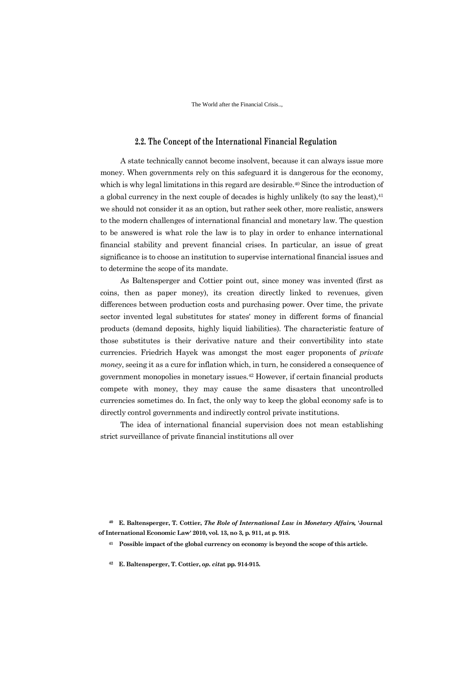The World after the Financial Crisis..,

## **2.2. The Concept of the International Financial Regulation**

A state technically cannot become insolvent, because it can always issue more money. When governments rely on this safeguard it is dangerous for the economy, which is why legal limitations in this regard are desirable.<sup>40</sup> Since the introduction of a global currency in the next couple of decades is highly unlikely (to say the least),<sup>41</sup> we should not consider it as an option, but rather seek other, more realistic, answers to the modern challenges of international financial and monetary law. The question to be answered is what role the law is to play in order to enhance international financial stability and prevent financial crises. In particular, an issue of great significance is to choose an institution to supervise international financial issues and to determine the scope of its mandate.

As Baltensperger and Cottier point out, since money was invented (first as coins, then as paper money), its creation directly linked to revenues, given differences between production costs and purchasing power. Over time, the private sector invented legal substitutes for states' money in different forms of financial products (demand deposits, highly liquid liabilities). The characteristic feature of those substitutes is their derivative nature and their convertibility into state currencies. Friedrich Hayek was amongst the most eager proponents of *private money*, seeing it as a cure for inflation which, in turn, he considered a consequence of government monopolies in monetary issues.<sup>42</sup> However, if certain financial products compete with money, they may cause the same disasters that uncontrolled currencies sometimes do. In fact, the only way to keep the global economy safe is to directly control governments and indirectly control private institutions.

The idea of international financial supervision does not mean establishing strict surveillance of private financial institutions all over

**<sup>40</sup> E. Baltensperger, T. Cottier,** *The Role of International Law in Monetary Affairs,* **'Journal of International Economic Law' 2010, vol. 13, no 3, p. 911, at p. 918.**

**<sup>41</sup> Possible impact of the global currency on economy is beyond the scope of this article.**

**<sup>42</sup> E. Baltensperger, T. Cottier,** *op. cit***at pp. 914-915.**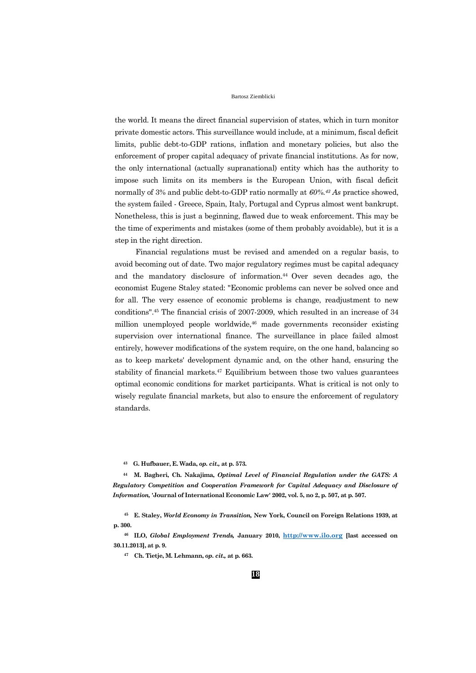the world. It means the direct financial supervision of states, which in turn monitor private domestic actors. This surveillance would include, at a minimum, fiscal deficit limits, public debt-to-GDP rations, inflation and monetary policies, but also the enforcement of proper capital adequacy of private financial institutions. As for now, the only international (actually supranational) entity which has the authority to impose such limits on its members is the European Union, with fiscal deficit normally of 3% and public debt-to-GDP ratio normally at *60%.<sup>43</sup> As* practice showed, the system failed - Greece, Spain, Italy, Portugal and Cyprus almost went bankrupt. Nonetheless, this is just a beginning, flawed due to weak enforcement. This may be the time of experiments and mistakes (some of them probably avoidable), but it is a step in the right direction.

Financial regulations must be revised and amended on a regular basis, to avoid becoming out of date. Two major regulatory regimes must be capital adequacy and the mandatory disclosure of information.44 Over seven decades ago, the economist Eugene Staley stated: "Economic problems can never be solved once and for all. The very essence of economic problems is change, readjustment to new conditions".<sup>45</sup> The financial crisis of 2007-2009, which resulted in an increase of 34 million unemployed people worldwide,<sup>46</sup> made governments reconsider existing supervision over international finance. The surveillance in place failed almost entirely, however modifications of the system require, on the one hand, balancing so as to keep markets' development dynamic and, on the other hand, ensuring the stability of financial markets.<sup>47</sup> Equilibrium between those two values guarantees optimal economic conditions for market participants. What is critical is not only to wisely regulate financial markets, but also to ensure the enforcement of regulatory standards.

**<sup>43</sup> G. Hufbauer, E. Wada,** *op. cit.,* **at p. 573.**

**<sup>44</sup> M. Bagheri, Ch. Nakajima,** *Optimal Level of Financial Regulation under the GATS: A Regulatory Competition and Cooperation Framework for Capital Adequacy and Disclosure of Information,* **'Journal of International Economic Law' 2002, vol. 5, no 2, p. 507, at p. 507.**

**<sup>45</sup> E. Staley,** *World Economy in Transition,* **New York, Council on Foreign Relations 1939, at p. 300.**

**<sup>46</sup> ILO,** *Global Employment Trends,* **January 2010, [http://www.ilo.org](http://www.ilo.org/) [last accessed on 30.11.2013], at p. 9.**

**<sup>47</sup> Ch. Tietje, M. Lehmann,** *op. cit.,* **at p. 663.**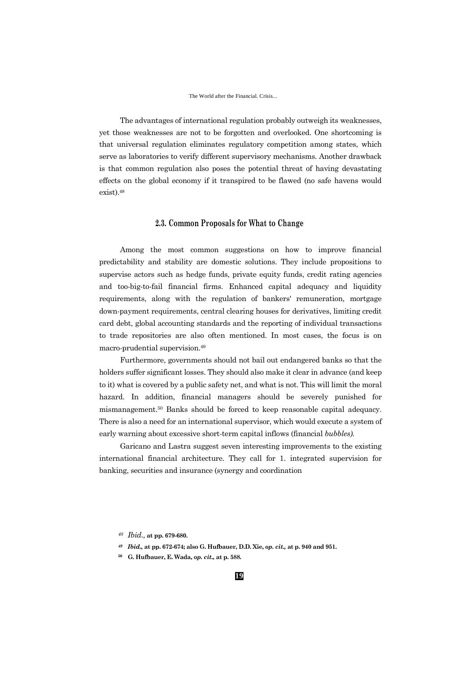The advantages of international regulation probably outweigh its weaknesses, yet those weaknesses are not to be forgotten and overlooked. One shortcoming is that universal regulation eliminates regulatory competition among states, which serve as laboratories to verify different supervisory mechanisms. Another drawback is that common regulation also poses the potential threat of having devastating effects on the global economy if it transpired to be flawed (no safe havens would exist).<sup>48</sup>

## **2.3. Common Proposals for What to Change**

Among the most common suggestions on how to improve financial predictability and stability are domestic solutions. They include propositions to supervise actors such as hedge funds, private equity funds, credit rating agencies and too-big-to-fail financial firms. Enhanced capital adequacy and liquidity requirements, along with the regulation of bankers' remuneration, mortgage down-payment requirements, central clearing houses for derivatives, limiting credit card debt, global accounting standards and the reporting of individual transactions to trade repositories are also often mentioned. In most cases, the focus is on macro-prudential supervision.<sup>49</sup>

Furthermore, governments should not bail out endangered banks so that the holders suffer significant losses. They should also make it clear in advance (and keep to it) what is covered by a public safety net, and what is not. This will limit the moral hazard. In addition, financial managers should be severely punished for mismanagement.<sup>50</sup> Banks should be forced to keep reasonable capital adequacy. There is also a need for an international supervisor, which would execute a system of early warning about excessive short-term capital inflows (financial *bubbles).*

Garicano and Lastra suggest seven interesting improvements to the existing international financial architecture. They call for 1. integrated supervision for banking, securities and insurance (synergy and coordination

- *<sup>49</sup> Ibid.,* **at pp. 672-674; also G. Hufbauer, D.D. Xie,** *op. cit.,* **at p. 940 and 951.**
- **<sup>50</sup> G. Hufbauer, E. Wada,** *op. cit.,* **at p. 588.**

*<sup>48</sup> Ibid.,* **at pp. 679-680.**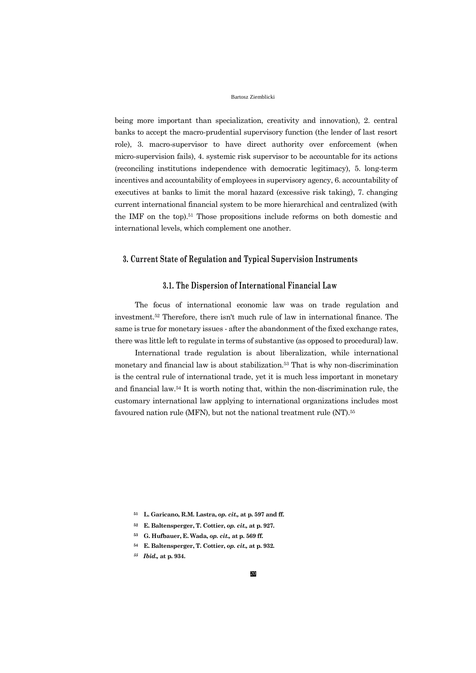being more important than specialization, creativity and innovation), 2. central banks to accept the macro-prudential supervisory function (the lender of last resort role), 3. macro-supervisor to have direct authority over enforcement (when micro-supervision fails), 4. systemic risk supervisor to be accountable for its actions (reconciling institutions independence with democratic legitimacy), 5. long-term incentives and accountability of employees in supervisory agency, 6. accountability of executives at banks to limit the moral hazard (excessive risk taking), 7. changing current international financial system to be more hierarchical and centralized (with the IMF on the top).<sup>51</sup> Those propositions include reforms on both domestic and international levels, which complement one another.

## **3. Current State of Regulation and Typical Supervision Instruments**

## **3.1. The Dispersion of International Financial Law**

The focus of international economic law was on trade regulation and investment.<sup>52</sup> Therefore, there isn't much rule of law in international finance. The same is true for monetary issues - after the abandonment of the fixed exchange rates, there was little left to regulate in terms of substantive (as opposed to procedural) law.

International trade regulation is about liberalization, while international monetary and financial law is about stabilization.<sup>53</sup> That is why non-discrimination is the central rule of international trade, yet it is much less important in monetary and financial law.<sup>54</sup> It is worth noting that, within the non-discrimination rule, the customary international law applying to international organizations includes most favoured nation rule (MFN), but not the national treatment rule (NT).<sup>55</sup>

- **<sup>52</sup> E. Baltensperger, T. Cottier,** *op. cit.,* **at p. 927.**
- **<sup>53</sup> G. Hufbauer, E. Wada,** *op. cit.,* **at p. 569 ff.**
- **<sup>54</sup> E. Baltensperger, T. Cottier,** *op. cit.,* **at p. 932.**
- *<sup>55</sup> Ibid.,* **at p. 934.**

**<sup>51</sup> L. Garicano, R.M. Lastra,** *op. cit.,* **at p. 597 and ff.**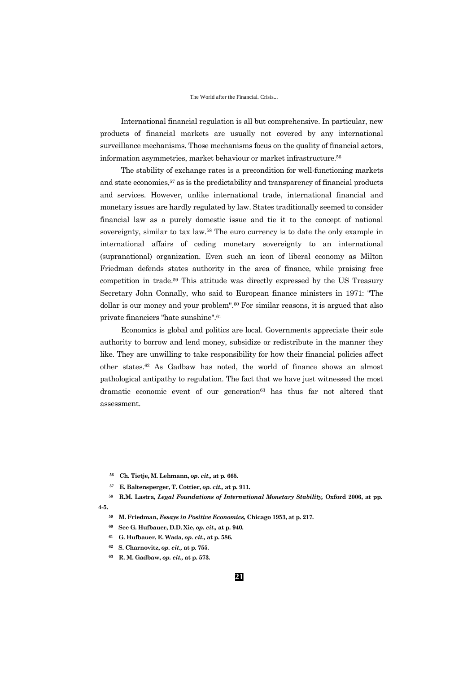International financial regulation is all but comprehensive. In particular, new products of financial markets are usually not covered by any international surveillance mechanisms. Those mechanisms focus on the quality of financial actors, information asymmetries, market behaviour or market infrastructure.<sup>56</sup>

The stability of exchange rates is a precondition for well-functioning markets and state economies,<sup>57</sup> as is the predictability and transparency of financial products and services. However, unlike international trade, international financial and monetary issues are hardly regulated by law. States traditionally seemed to consider financial law as a purely domestic issue and tie it to the concept of national sovereignty, similar to tax law.<sup>58</sup> The euro currency is to date the only example in international affairs of ceding monetary sovereignty to an international (supranational) organization. Even such an icon of liberal economy as Milton Friedman defends states authority in the area of finance, while praising free competition in trade.<sup>59</sup> This attitude was directly expressed by the US Treasury Secretary John Connally, who said to European finance ministers in 1971: "The dollar is our money and your problem". $60$  For similar reasons, it is argued that also private financiers "hate sunshine".<sup>61</sup>

Economics is global and politics are local. Governments appreciate their sole authority to borrow and lend money, subsidize or redistribute in the manner they like. They are unwilling to take responsibility for how their financial policies affect other states.<sup>62</sup> As Gadbaw has noted, the world of finance shows an almost pathological antipathy to regulation. The fact that we have just witnessed the most dramatic economic event of our generation<sup>63</sup> has thus far not altered that assessment.

- **<sup>59</sup> M. Friedman,** *Essays in Positive Economics,* **Chicago 1953, at p. 217.**
- **<sup>60</sup> See G. Hufbauer, D.D. Xie,** *op. cit.,* **at p. 940.**
- **<sup>61</sup> G. Hufbauer, E. Wada,** *op. cit.,* **at p. 586.**
- **<sup>62</sup> S. Charnovitz,** *op. cit.,* **at p. 755.**
- **<sup>63</sup> R. M. Gadbaw,** *op. cit.,* **at p. 573.**

**<sup>56</sup> Ch. Tietje, M. Lehmann,** *op. cit.,* **at p. 665.**

**<sup>57</sup> E. Baltensperger, T. Cottier,** *op. cit.,* **at p. 911.**

**<sup>58</sup> R.M. Lastra,** *Legal Foundations of International Monetary Stability,* **Oxford 2006, at pp.** 

**<sup>4-5.</sup>**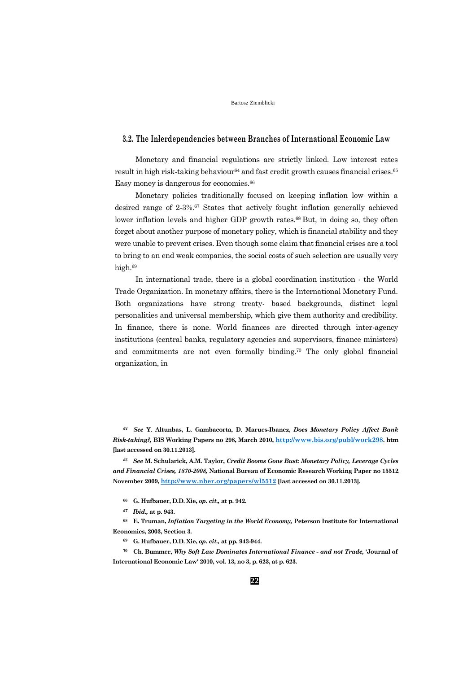## **3.2. The Inłerdependencies between Branches of International Economic Law**

Monetary and financial regulations are strictly linked. Low interest rates result in high risk-taking behaviour<sup>64</sup> and fast credit growth causes financial crises.<sup>65</sup> Easy money is dangerous for economies.<sup>66</sup>

Monetary policies traditionally focused on keeping inflation low within a desired range of 2-3%.<sup>67</sup> States that actively fought inflation generally achieved lower inflation levels and higher GDP growth rates.<sup>68</sup> But, in doing so, they often forget about another purpose of monetary policy, which is financial stability and they were unable to prevent crises. Even though some claim that financial crises are a tool to bring to an end weak companies, the social costs of such selection are usually very high.<sup>69</sup>

In international trade, there is a global coordination institution - the World Trade Organization. In monetary affairs, there is the International Monetary Fund. Both organizations have strong treaty- based backgrounds, distinct legal personalities and universal membership, which give them authority and credibility. In finance, there is none. World finances are directed through inter-agency institutions (central banks, regulatory agencies and supervisors, finance ministers) and commitments are not even formally binding.<sup>70</sup> The only global financial organization, in

*<sup>64</sup> See* **Y. Altunbas, L. Gambacorta, D. Marues-Ibanez,** *Does Monetary Policy Affect Bank Risk-taking?,* **BIS Working Papers no 298, March 2010, <http://www.bis.org/publ/work298>. htm [last accessed on 30.11.2013].**

*<sup>65</sup> See* **M. Schularick, A.M. Taylor,** *Credit Booms Gone Bust: Monetary Policy, Leverage Cycles and Financial Crises, 1870-2008,* **National Bureau of Economic Research Working Paper no 15512, November 2009, <http://www.nber.org/papers/wl5512> [last accessed on 30.11.2013].**

- **<sup>66</sup> G. Hufbauer, D.D. Xie,** *op. cit.,* **at p. 942.**
- *<sup>67</sup> Ibid.,* **at p. 943.**

**<sup>68</sup> E. Truman,** *Inflation Targeting in the World Economy,* **Peterson Institute for International Economics, 2003, Section 3.**

**<sup>69</sup> G. Hufbauer, D.D. Xie,** *op. cit.,* **at pp. 943-944.**

**<sup>70</sup> Ch. Bummer,** *Why Soft Law Dominates International Finance - and not Trade,* **'Journal of International Economic Law' 2010, vol. 13, no 3, p. 623, at p. 623.**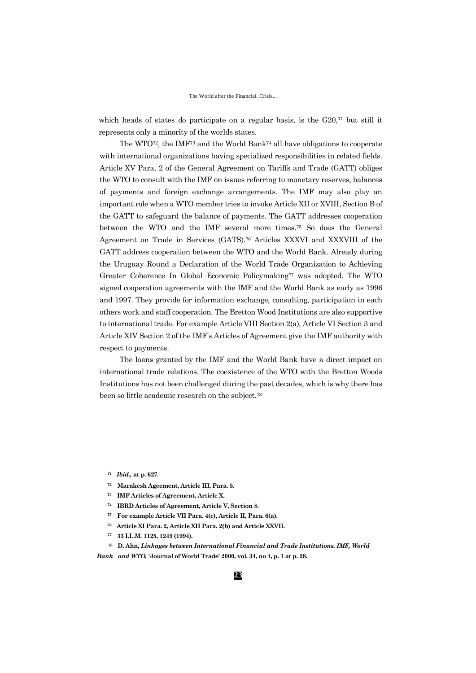which heads of states do participate on a regular basis, is the G20,<sup>71</sup> but still it represents only a minority of the worlds states.

The WTO72, the IMF<sup>73</sup> and the World Bank<sup>74</sup> all have obligations to cooperate with international organizations having specialized responsibilities in related fields. Article XV Para. 2 of the General Agreement on Tariffs and Trade (GATT) obliges the WTO to consult with the IMF on issues referring to monetary reserves, balances of payments and foreign exchange arrangements. The IMF may also play an important role when a WTO member tries to invoke Article XII or XVIII, Section B of the GATT to safeguard the balance of payments. The GATT addresses cooperation between the WTO and the IMF several more times.<sup>75</sup> So does the General Agreement on Trade in Services (GATS).<sup>76</sup> Articles XXXVI and XXXVIII of the GATT address cooperation between the WTO and the World Bank. Already during the Uruguay Round a Declaration of the World Trade Organization to Achieving Greater Coherence In Global Economic Policymaking<sup>77</sup> was adopted. The WTO signed cooperation agreements with the IMF and the World Bank as early as 1996 and 1997. They provide for information exchange, consulting, participation in each others work and staff cooperation. The Bretton Wood Institutions are also supportive to international trade. For example Article VIII Section 2(a), Article VI Section 3 and Article XIV Section 2 of the IMF's Articles of Agreement give the IMF authority with respect to payments.

The loans granted by the IMF and the World Bank have a direct impact on international trade relations. The coexistence of the WTO with the Bretton Woods Institutions has not been challenged during the past decades, which is why there has been so little academic research on the subject.<sup>78</sup>

- *<sup>71</sup> Ibid.,* **at p. 627.**
- **<sup>72</sup> Marakesh Ageement, Article III, Para. 5.**
- **<sup>73</sup> IMF Articles of Agreement, Article X.**
- **<sup>74</sup> IBRD Articles of Agreement, Article V, Section 8.**
- **<sup>75</sup> For example Article VII Para. 4(c), Article II, Para. 6(a).**
- **<sup>76</sup> Article XI Para. 2, Article XII Para. 2(b) and Article XXVII.**
- **<sup>77</sup> 33 I.L.M. 1125, 1249 (1994).**

**<sup>78</sup> D. Ahn,** *Linkages between International Financial and Trade Institutions. IMF, World Bank and WTO,* **'Journal of World Trade' 2000, vol. 34, no 4, p. 1 at p. 28.**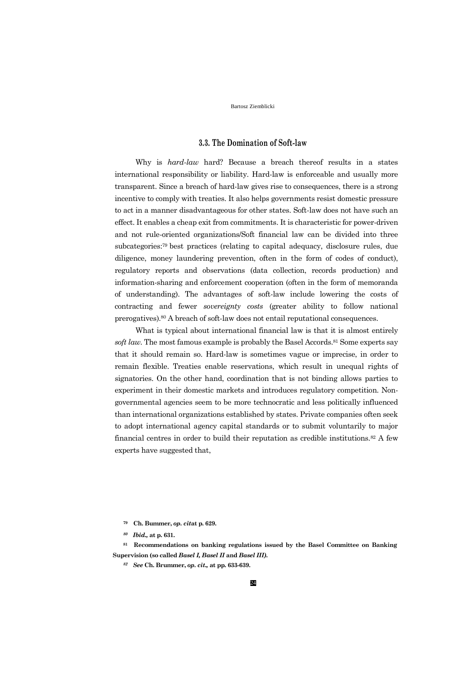## **3.3. The Domination of Soft-law**

Why is *hard-law* hard? Because a breach thereof results in a states international responsibility or liability. Hard-law is enforceable and usually more transparent. Since a breach of hard-law gives rise to consequences, there is a strong incentive to comply with treaties. It also helps governments resist domestic pressure to act in a manner disadvantageous for other states. Soft-law does not have such an effect. It enables a cheap exit from commitments. It is characteristic for power-driven and not rule-oriented organizations/Soft financial law can be divided into three subcategories:79 best practices (relating to capital adequacy, disclosure rules, due diligence, money laundering prevention, often in the form of codes of conduct), regulatory reports and observations (data collection, records production) and information-sharing and enforcement cooperation (often in the form of memoranda of understanding). The advantages of soft-law include lowering the costs of contracting and fewer *sovereignty costs* (greater ability to follow national prerogatives).<sup>80</sup> A breach of soft-law does not entail reputational consequences.

What is typical about international financial law is that it is almost entirely *soft law.* The most famous example is probably the Basel Accords.<sup>81</sup> Some experts say that it should remain so. Hard-law is sometimes vague or imprecise, in order to remain flexible. Treaties enable reservations, which result in unequal rights of signatories. On the other hand, coordination that is not binding allows parties to experiment in their domestic markets and introduces regulatory competition. Nongovernmental agencies seem to be more technocratic and less politically influenced than international organizations established by states. Private companies often seek to adopt international agency capital standards or to submit voluntarily to major financial centres in order to build their reputation as credible institutions.<sup>82</sup> A few experts have suggested that,

**<sup>81</sup> Recommendations on banking regulations issued by the Basel Committee on Banking Supervision (so called** *Basel I, Basel II* **and** *Basel III).*

**<sup>79</sup> Ch. Bummer,** *op. cit***at p. 629.**

*<sup>80</sup> Ibid.,* **at p. 631.**

*<sup>82</sup> See* **Ch. Brummer,** *op. cit.,* **at pp. 633-639.**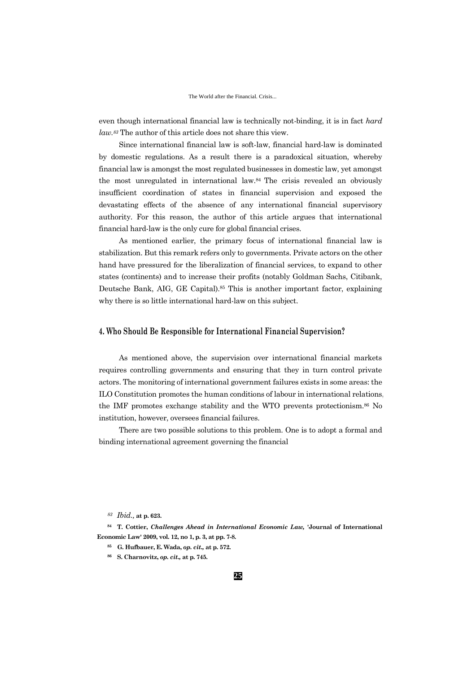even though international financial law is technically not-binding, it is in fact *hard law.<sup>83</sup>* The author of this article does not share this view.

Since international financial law is soft-law, financial hard-law is dominated by domestic regulations. As a result there is a paradoxical situation, whereby financial law is amongst the most regulated businesses in domestic law, yet amongst the most unregulated in international law.84 The crisis revealed an obviously insufficient coordination of states in financial supervision and exposed the devastating effects of the absence of any international financial supervisory authority. For this reason, the author of this article argues that international financial hard-law is the only cure for global financial crises.

As mentioned earlier, the primary focus of international financial law is stabilization. But this remark refers only to governments. Private actors on the other hand have pressured for the liberalization of financial services, to expand to other states (continents) and to increase their profits (notably Goldman Sachs, Citibank, Deutsche Bank, AIG, GE Capital).<sup>85</sup> This is another important factor, explaining why there is so little international hard-law on this subject.

## **4. Who Should Be Responsible for International Financial Supervision?**

As mentioned above, the supervision over international financial markets requires controlling governments and ensuring that they in turn control private actors. The monitoring of international government failures exists in some areas: the ILO Constitution promotes the human conditions of labour in international relations, the IMF promotes exchange stability and the WTO prevents protectionism.<sup>86</sup> No institution, however, oversees financial failures.

There are two possible solutions to this problem. One is to adopt a formal and binding international agreement governing the financial

*<sup>83</sup> Ibid.,* **at p. 623.**

**<sup>84</sup> T. Cottier,** *Challenges Ahead in International Economic Law,* **'Journal of International Economic Law' 2009, vol. 12, no 1, p. 3, at pp. 7-8.**

- **<sup>85</sup> G. Hufbauer, E. Wada,** *op. cit.,* **at p. 572.**
- **<sup>86</sup> S. Charnovitz,** *op. cit.,* **at p. 745.**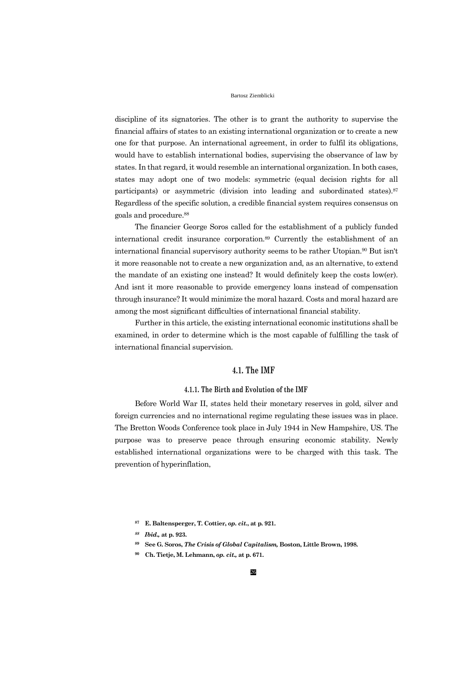discipline of its signatories. The other is to grant the authority to supervise the financial affairs of states to an existing international organization or to create a new one for that purpose. An international agreement, in order to fulfil its obligations, would have to establish international bodies, supervising the observance of law by states. In that regard, it would resemble an international organization. In both cases, states may adopt one of two models: symmetric (equal decision rights for all participants) or asymmetric (division into leading and subordinated states).<sup>87</sup> Regardless of the specific solution, a credible financial system requires consensus on goals and procedure.<sup>88</sup>

The financier George Soros called for the establishment of a publicly funded international credit insurance corporation.<sup>89</sup> Currently the establishment of an international financial supervisory authority seems to be rather Utopian.<sup>90</sup> But isn't it more reasonable not to create a new organization and, as an alternative, to extend the mandate of an existing one instead? It would definitely keep the costs low(er). And isnt it more reasonable to provide emergency loans instead of compensation through insurance? It would minimize the moral hazard. Costs and moral hazard are among the most significant difficulties of international financial stability.

Further in this article, the existing international economic institutions shall be examined, in order to determine which is the most capable of fulfilling the task of international financial supervision.

## **4.1. The IMF**

### **4.1.1. The Birth and Evolution of the IMF**

Before World War II, states held their monetary reserves in gold, silver and foreign currencies and no international regime regulating these issues was in place. The Bretton Woods Conference took place in July 1944 in New Hampshire, US. The purpose was to preserve peace through ensuring economic stability. Newly established international organizations were to be charged with this task. The prevention of hyperinflation,

**<sup>87</sup> E. Baltensperger, T. Cottier,** *op. cit.***, at p. 921.**

*<sup>88</sup> Ibid.,* **at p. 923.**

**<sup>89</sup> See G. Soros,** *The Crisis of Global Capitalism,* **Boston, Little Brown, 1998.**

**<sup>90</sup> Ch. Tietje, M. Lehmann,** *op. cit.,* **at p. 671.**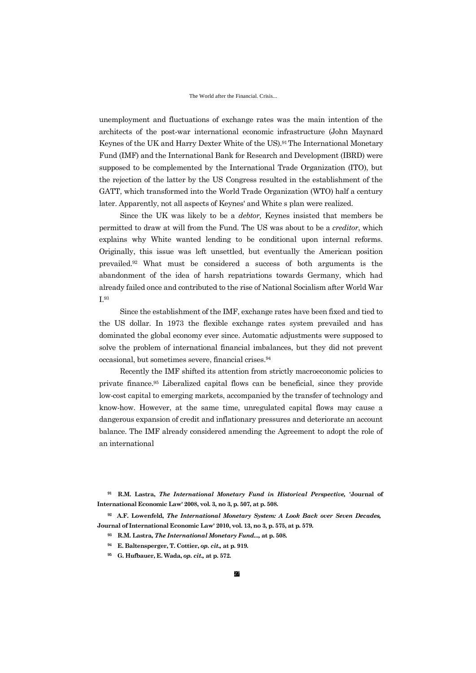unemployment and fluctuations of exchange rates was the main intention of the architects of the post-war international economic infrastructure (John Maynard Keynes of the UK and Harry Dexter White of the US).91 The International Monetary Fund (IMF) and the International Bank for Research and Development (IBRD) were supposed to be complemented by the International Trade Organization (ITO), but the rejection of the latter by the US Congress resulted in the establishment of the GATT, which transformed into the World Trade Organization (WTO) half a century later. Apparently, not all aspects of Keynes' and White s plan were realized.

Since the UK was likely to be a *debtor,* Keynes insisted that members be permitted to draw at will from the Fund. The US was about to be a *creditor*, which explains why White wanted lending to be conditional upon internal reforms. Originally, this issue was left unsettled, but eventually the American position prevailed.<sup>92</sup> What must be considered a success of both arguments is the abandonment of the idea of harsh repatriations towards Germany, which had already failed once and contributed to the rise of National Socialism after World War I.<sup>93</sup>

Since the establishment of the IMF, exchange rates have been fixed and tied to the US dollar. In 1973 the flexible exchange rates system prevailed and has dominated the global economy ever since. Automatic adjustments were supposed to solve the problem of international financial imbalances, but they did not prevent occasional, but sometimes severe, financial crises.<sup>94</sup>

Recently the IMF shifted its attention from strictly macroeconomic policies to private finance.<sup>95</sup> Liberalized capital flows can be beneficial, since they provide low-cost capital to emerging markets, accompanied by the transfer of technology and know-how. However, at the same time, unregulated capital flows may cause a dangerous expansion of credit and inflationary pressures and deteriorate an account balance. The IMF already considered amending the Agreement to adopt the role of an international

**<sup>91</sup> R.M. Lastra,** *The International Monetary Fund in Historical Perspective,* **'Journal of International Economic Law' 2008, vol. 3, no 3, p. 507, at p. 508.**

**<sup>92</sup> A.F. Lowenfeld,** *The International Monetary System: A Look Back over Seven Decades,*  **Journal of International Economic Law' 2010, vol. 13, no 3, p. 575, at p. 579.**

- **<sup>93</sup> R.M. Lastra,** *The International Monetary Fund...,* **at p. 508.**
- **<sup>94</sup> E. Baltensperger, T. Cottier,** *op. cit.,* **at p. 919.**
- **<sup>95</sup> G. Hufbauer, E. Wada,** *op. cit.,* **at p. 572.**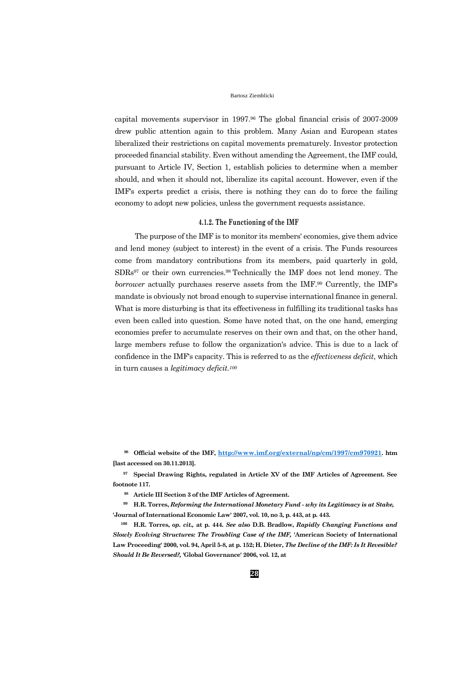capital movements supervisor in 1997.<sup>96</sup> The global financial crisis of 2007-2009 drew public attention again to this problem. Many Asian and European states liberalized their restrictions on capital movements prematurely. Investor protection proceeded financial stability. Even without amending the Agreement, the IMF could, pursuant to Article IV, Section 1, establish policies to determine when a member should, and when it should not, liberalize its capital account. However, even if the IMF's experts predict a crisis, there is nothing they can do to force the failing economy to adopt new policies, unless the government requests assistance.

## **4.1.2. The Functioning of the IMF**

The purpose of the IMF is to monitor its members' economies, give them advice and lend money (subject to interest) in the event of a crisis. The Funds resources come from mandatory contributions from its members, paid quarterly in gold, SDRs<sup>97</sup> or their own currencies.98 Technically the IMF does not lend money. The *borrower* actually purchases reserve assets from the IMF.<sup>99</sup> Currently, the IMF's mandate is obviously not broad enough to supervise international finance in general. What is more disturbing is that its effectiveness in fulfilling its traditional tasks has even been called into question. Some have noted that, on the one hand, emerging economies prefer to accumulate reserves on their own and that, on the other hand, large members refuse to follow the organization's advice. This is due to a lack of confidence in the IMF's capacity. This is referred to as the *effectiveness deficit*, which in turn causes a *legitimacy deficit.<sup>100</sup>*

**<sup>96</sup> Official website of the IMF, <http://www.imf.org/external/np/cm/1997/cm970921>. htm [last accessed on 30.11.2013].**

**<sup>97</sup> Special Drawing Rights, regulated in Article XV of the IMF Articles of Agreement. See footnote 117.**

**<sup>98</sup> Article III Section 3 of the IMF Articles of Agreement.**

**<sup>99</sup> H.R. Torres,** *Reforming the International Monetary Fund - why its Legitimacy is at Stake,* **'Journal of International Economic Law' 2007, vol. 10, no 3, p. 443, at p. 443.**

**<sup>100</sup> H.R. Torres,** *op. cit.,* **at p. 444.** *See also* **D.B. Bradlow,** *Rapidly Changing Functions and Slowly Evolving Structures: The Troubling Case of the IMF,* **'American Society of International Law Proceeding' 2000, vol. 94, April 5-8, at p. 152; H. Dieter,** *The Decline of the IMF: Is It Revesible? Should It Be Reversed?,* **'Global Governance' 2006, vol. 12, at**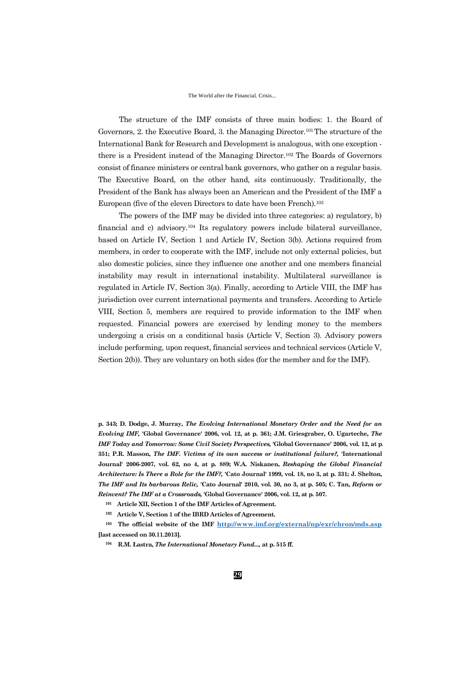#### The World after the Financial. Crisis...

The structure of the IMF consists of three main bodies: 1. the Board of Governors, 2. the Executive Board, 3. the Managing Director.101 The structure of the International Bank for Research and Development is analogous, with one exception there is a President instead of the Managing Director.<sup>102</sup> The Boards of Governors consist of finance ministers or central bank governors, who gather on a regular basis. The Executive Board, on the other hand, sits continuously. Traditionally, the President of the Bank has always been an American and the President of the IMF a European (five of the eleven Directors to date have been French).<sup>103</sup>

The powers of the IMF may be divided into three categories: a) regulatory, b) financial and c) advisory.<sup>104</sup> Its regulatory powers include bilateral surveillance, based on Article IV, Section 1 and Article IV, Section 3(b). Actions required from members, in order to cooperate with the IMF, include not only external policies, but also domestic policies, since they influence one another and one members financial instability may result in international instability. Multilateral surveillance is regulated in Article IV, Section 3(a). Finally, according to Article VIII, the IMF has jurisdiction over current international payments and transfers. According to Article VIII, Section 5, members are required to provide information to the IMF when requested. Financial powers are exercised by lending money to the members undergoing a crisis on a conditional basis (Article V, Section 3). Advisory powers include performing, upon request, financial services and technical services (Article V, Section 2(b)). They are voluntary on both sides (for the member and for the IMF).

**p. 343; D. Dodge, J. Murray,** *The Evolving International Monetary Order and the Need for an Evolving IMF,* **'Global Governance' 2006, vol. 12, at p. 361; J.M. Griesgraber, O. Ugarteche,** *The IMF Today and Tomorrow: Some Civil Society Perspectives,* **'Global Governance' 2006, vol. 12, at p. 351; P.R. Masson,** *The IMF. Victims of its own success or institutional failure?,* **'International Journal' 2006-2007, vol. 62, no 4, at p. 889; W.A. Niskanen,** *Reshaping the Global Financial Architecture: Is There a Role for the IMF?,* **'Cato Journal' 1999, vol. 18, no 3, at p. 331; J. Shelton,** *The IMF and Its barbarous Relic,* **'Cato Journal' 2010, vol. 30, no 3, at p. 505; C. Tan,** *Reform or Reinvent? The IMF at a Crossroads,* **'Global Governance' 2006, vol. 12, at p. 507.**

**<sup>101</sup> Article XII, Section 1 of the IMF Articles of Agreement.**

**<sup>102</sup> Article V, Section 1 of the IBRD Articles of Agreement.**

**<sup>103</sup> The official website of the IMF <http://www.imf.org/external/np/exr/chron/mds.asp> [last accessed on 30.11.2013].**

**<sup>104</sup> R.M. Łastra,** *The International Monetary Fund...,* **at p. 515 ff.**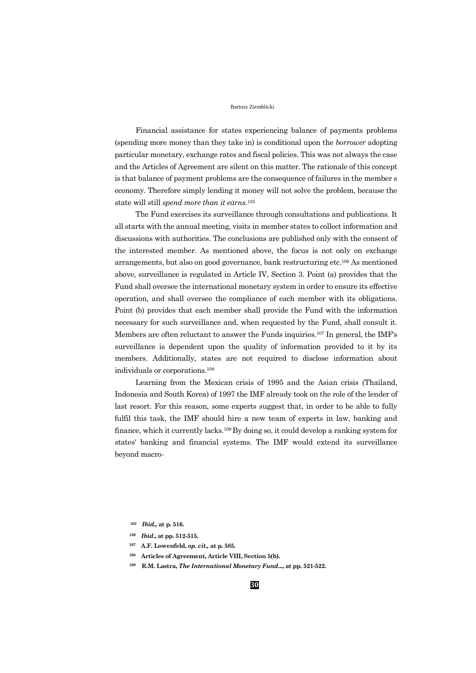Financial assistance for states experiencing balance of payments problems (spending more money than they take in) is conditional upon the *borrower* adopting particular monetary, exchange rates and fiscal policies. This was not always the case and the Articles of Agreement are silent on this matter. The rationale of this concept is that balance of payment problems are the consequence of failures in the member s economy. Therefore simply lending it money will not solve the problem, because the state will still *spend more than it earns.<sup>105</sup>*

The Fund exercises its surveillance through consultations and publications. It all starts with the annual meeting, visits in member states to collect information and discussions with authorities. The conclusions are published only with the consent of the interested member. As mentioned above, the focus is not only on exchange arrangements, but also on good governance, bank restructuring etc.<sup>106</sup> As mentioned above, surveillance is regulated in Article IV, Section 3. Point (a) provides that the Fund shall oversee the international monetary system in order to ensure its effective operation, and shall oversee the compliance of each member with its obligations. Point (b) provides that each member shall provide the Fund with the information necessary for such surveillance and, when requested by the Fund, shall consult it. Members are often reluctant to answer the Funds inquiries.<sup>107</sup> In general, the IMF's surveillance is dependent upon the quality of information provided to it by its members. Additionally, states are not required to disclose information about individuals or corporations.<sup>108</sup>

Learning from the Mexican crisis of 1995 and the Asian crisis (Thailand, Indonesia and South Korea) of 1997 the IMF already took on the role of the lender of last resort. For this reason, some experts suggest that, in order to be able to fully fulfil this task, the IMF should hire a new team of experts in law, banking and finance, which it currently lacks.109 By doing so, it could develop a ranking system for states' banking and financial systems. The IMF would extend its surveillance beyond macro-

- *<sup>106</sup> Ibid***., at pp. 512-515.**
- **<sup>107</sup> A.F. Lowenfeld,** *op. cit.,* **at p. 585.**
- **<sup>108</sup> Articles of Agreement, Article VIII, Section 5(b).**
- **<sup>109</sup> R.M. Lastra,** *The International Monetary Fund***..., at pp. 521-522.**

*<sup>105</sup> Ibid.,* **at p. 516.**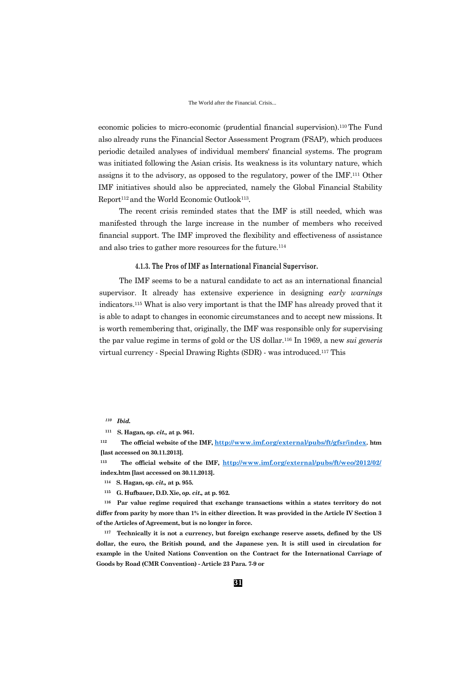#### The World after the Financial. Crisis...

economic policies to micro-economic (prudential financial supervision).110 The Fund also already runs the Financial Sector Assessment Program (FSAP), which produces periodic detailed analyses of individual members' financial systems. The program was initiated following the Asian crisis. Its weakness is its voluntary nature, which assigns it to the advisory, as opposed to the regulatory, power of the IMF.<sup>111</sup> Other IMF initiatives should also be appreciated, namely the Global Financial Stability Report<sup>112</sup> and the World Economic Outlook<sup>113</sup>.

The recent crisis reminded states that the IMF is still needed, which was manifested through the large increase in the number of members who received financial support. The IMF improved the flexibility and effectiveness of assistance and also tries to gather more resources for the future.<sup>114</sup>

### **4.1.3. The Pros of IMF as International Financial Supervisor.**

The IMF seems to be a natural candidate to act as an international financial supervisor. It already has extensive experience in designing *early warnings* indicators.<sup>115</sup> What is also very important is that the IMF has already proved that it is able to adapt to changes in economic circumstances and to accept new missions. It is worth remembering that, originally, the IMF was responsible only for supervising the par value regime in terms of gold or the US dollar.<sup>116</sup> In 1969, a new *sui generis*  virtual currency - Special Drawing Rights (SDR) - was introduced.<sup>117</sup> This

**<sup>113</sup> The official website of the IMF, <http://www.imf.org/external/pubs/ft/weo/2012/02/> index.htm [last accessed on 30.11.2013].**

**<sup>116</sup> Par value regime required that exchange transactions within a states territory do not differ from parity by more than 1% in either direction. It was provided in the Article IV Section 3 of the Articles of Agreement, but is no longer in force.**

**<sup>117</sup> Technically it is not a currency, but foreign exchange reserve assets, defined by the US dollar, the euro, the British pound, and the Japanese yen. It is still used in circulation for example in the United Nations Convention on the Contract for the International Carriage of Goods by Road (CMR Convention) - Article 23 Para. 7-9 or**

*<sup>110</sup> Ibid.*

**<sup>111</sup> S. Hagan,** *op. cit.,* **at p. 961.**

**<sup>112</sup> The official website of the IMF, <http://www.imf.org/external/pubs/ft/gfsr/index>. htm [last accessed on 30.11.2013].**

**<sup>114</sup> S. Hagan,** *op. cit.,* **at p. 955.**

**<sup>115</sup> G. Hufbauer, D.D. Xie,** *op. cit.,* **at p. 952.**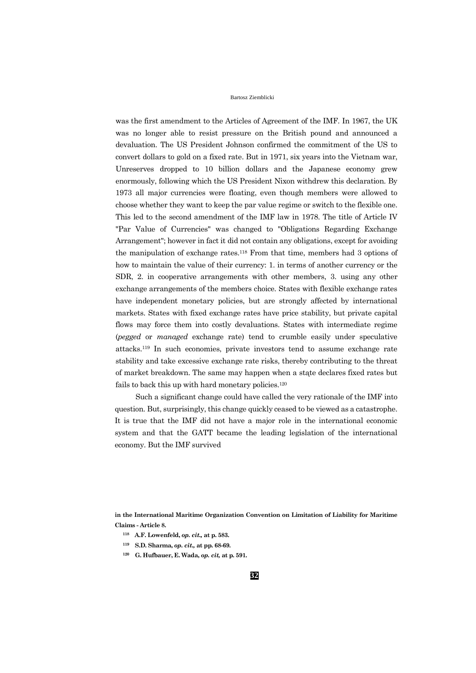was the first amendment to the Articles of Agreement of the IMF. In 1967, the UK was no longer able to resist pressure on the British pound and announced a devaluation. The US President Johnson confirmed the commitment of the US to convert dollars to gold on a fixed rate. But in 1971, six years into the Vietnam war, Unreserves dropped to 10 billion dollars and the Japanese economy grew enormously, following which the US President Nixon withdrew this declaration. By 1973 all major currencies were floating, even though members were allowed to choose whether they want to keep the par value regime or switch to the flexible one. This led to the second amendment of the IMF law in 1978. The title of Article IV "Par Value of Currencies" was changed to "Obligations Regarding Exchange Arrangement"; however in fact it did not contain any obligations, except for avoiding the manipulation of exchange rates.<sup>118</sup> From that time, members had 3 options of how to maintain the value of their currency: 1. in terms of another currency or the SDR, 2. in cooperative arrangements with other members, 3. using any other exchange arrangements of the members choice. States with flexible exchange rates have independent monetary policies, but are strongly affected by international markets. States with fixed exchange rates have price stability, but private capital flows may force them into costly devaluations. States with intermediate regime (*pegged* or *managed* exchange rate) tend to crumble easily under speculative attacks.<sup>119</sup> In such economies, private investors tend to assume exchange rate stability and take excessive exchange rate risks, thereby contributing to the threat of market breakdown. The same may happen when a stąte declares fixed rates but fails to back this up with hard monetary policies.<sup>120</sup>

Such a significant change could have called the very rationale of the IMF into question. But, surprisingly, this change quickly ceased to be viewed as a catastrophe. It is true that the IMF did not have a major role in the international economic system and that the GATT became the leading legislation of the international economy. But the IMF survived

**in the International Maritime Organization Convention on Limitation of Liability for Maritime Claims - Article 8.**

- **<sup>118</sup> A.F. Lowenfeld,** *op. cit.,* **at p. 583.**
- **<sup>119</sup> S.D. Sharma,** *op. cit.,* **at pp. 68-69.**
- **<sup>120</sup> G. Hufbauer, E. Wada,** *op. cit,* **at p. 591.**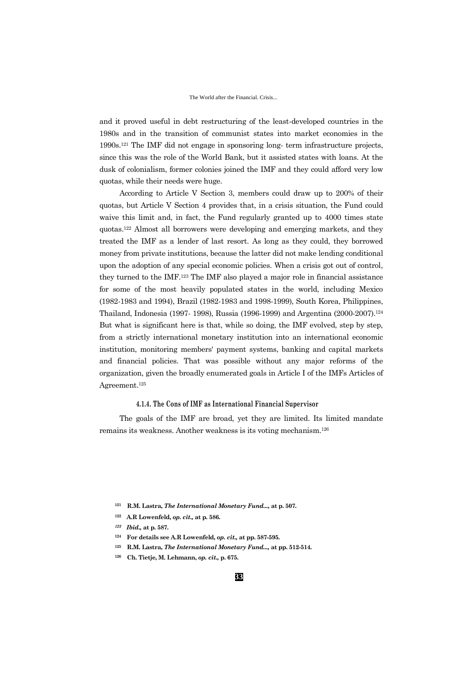and it proved useful in debt restructuring of the least-developed countries in the 1980s and in the transition of communist states into market economies in the 1990s.<sup>121</sup> The IMF did not engage in sponsoring long- term infrastructure projects, since this was the role of the World Bank, but it assisted states with loans. At the dusk of colonialism, former colonies joined the IMF and they could afford very low quotas, while their needs were huge.

According to Article V Section 3, members could draw up to 200% of their quotas, but Article V Section 4 provides that, in a crisis situation, the Fund could waive this limit and, in fact, the Fund regularly granted up to 4000 times state quotas.<sup>122</sup> Almost all borrowers were developing and emerging markets, and they treated the IMF as a lender of last resort. As long as they could, they borrowed money from private institutions, because the latter did not make lending conditional upon the adoption of any special economic policies. When a crisis got out of control, they turned to the IMF.<sup>123</sup> The IMF also played a major role in financial assistance for some of the most heavily populated states in the world, including Mexico (1982-1983 and 1994), Brazil (1982-1983 and 1998-1999), South Korea, Philippines, Thailand, Indonesia (1997- 1998), Russia (1996-1999) and Argentina (2000-2007).<sup>124</sup> But what is significant here is that, while so doing, the IMF evolved, step by step, from a strictly international monetary institution into an international economic institution, monitoring members' payment systems, banking and capital markets and financial policies. That was possible without any major reforms of the organization, given the broadly enumerated goals in Article I of the IMFs Articles of Agreement.<sup>125</sup>

### **4.1.4. The Cons of IMF as International Financial Supervisor**

The goals of the IMF are broad, yet they are limited. Its limited mandate remains its weakness. Another weakness is its voting mechanism.<sup>126</sup>

- **<sup>121</sup> R.M. Lastra,** *The International Monetary Fund...,* **at p. 507.**
- **<sup>122</sup> A.R Lowenfeld,** *op. cit.,* **at p. 586.**
- *<sup>123</sup> Ibid.,* **at p. 587.**
- **<sup>124</sup> For details see A.R Lowenfeld,** *op. cit.,* **at pp. 587-595.**
- **<sup>125</sup> R.M. Lastra,** *The International Monetary Fund...,* **at pp. 512-514.**
- **<sup>126</sup> Ch. Tietje, M. Lehmann,** *op. cit.,* **p. 675.**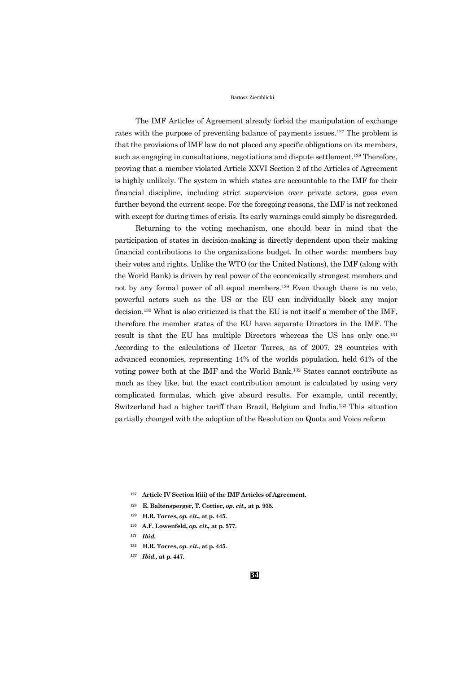The IMF Articles of Agreement already forbid the manipulation of exchange rates with the purpose of preventing balance of payments issues.<sup>127</sup> The problem is that the provisions of IMF law do not placed any specific obligations on its members, such as engaging in consultations, negotiations and dispute settlement.<sup>128</sup> Therefore, proving that a member violated Article XXVI Section 2 of the Articles of Agreement is highly unlikely. The system in which states are accountable to the IMF for their financial discipline, including strict supervision over private actors, goes even further beyond the current scope. For the foregoing reasons, the IMF is not reckoned with except for during times of crisis. Its early warnings could simply be disregarded.

Returning to the voting mechanism, one should bear in mind that the participation of states in decision-making is directly dependent upon their making financial contributions to the organizations budget. In other words: members buy their votes and rights. Unlike the WTO (or the United Nations), the IMF (along with the World Bank) is driven by real power of the economically strongest members and not by any formal power of all equal members.<sup>129</sup> Even though there is no veto, powerful actors such as the US or the EU can individually block any major decision.<sup>130</sup> What is also criticized is that the EU is not itself a member of the IMF, therefore the member states of the EU have separate Directors in the IMF. The result is that the EU has multiple Directors whereas the US has only one.<sup>131</sup> According to the calculations of Hector Torres, as of 2007, 28 countries with advanced economies, representing 14% of the worlds population, held 61% of the voting power both at the IMF and the World Bank.<sup>132</sup> States cannot contribute as much as they like, but the exact contribution amount is calculated by using very complicated formulas, which give absurd results. For example, until recently, Switzerland had a higher tariff than Brazil, Belgium and India.<sup>133</sup> This situation partially changed with the adoption of the Resolution on Quota and Voice reform

- **<sup>128</sup> E. Baltensperger, T. Cottier,** *op. cit.,* **at p. 935.**
- **<sup>129</sup> H.R. Torres,** *op. cit.,* **at p. 445.**
- **<sup>130</sup> A.F. Lowenfeld,** *op. cit.,* **at p. 577.**
- *<sup>131</sup> Ibid.*
- **<sup>132</sup> H.R. Torres,** *op. cit.,* **at p. 445.**
- *<sup>133</sup> Ibid.,* **at p. 447.**

**<sup>127</sup> Article IV Section l(iii) of the IMF Articles of Agreement.**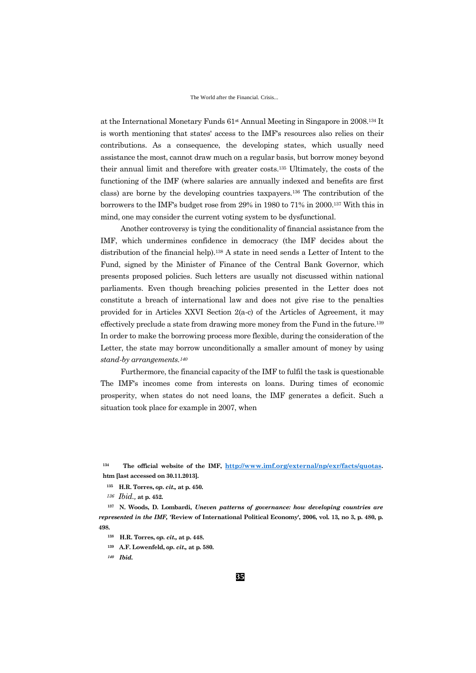at the International Monetary Funds  $61<sup>st</sup>$  Annual Meeting in Singapore in 2008.<sup>134</sup> It is worth mentioning that states' access to the IMF's resources also relies on their contributions. As a consequence, the developing states, which usually need assistance the most, cannot draw much on a regular basis, but borrow money beyond their annual limit and therefore with greater costs.<sup>135</sup> Ultimately, the costs of the functioning of the IMF (where salaries are annually indexed and benefits are first class) are borne by the developing countries taxpayers.<sup>136</sup> The contribution of the borrowers to the IMF's budget rose from 29% in 1980 to 71% in 2000.<sup>137</sup> With this in mind, one may consider the current voting system to be dysfunctional.

Another controversy is tying the conditionality of financial assistance from the IMF, which undermines confidence in democracy (the IMF decides about the distribution of the financial help).<sup>138</sup> A state in need sends a Letter of Intent to the Fund, signed by the Minister of Finance of the Central Bank Governor, which presents proposed policies. Such letters are usually not discussed within national parliaments. Even though breaching policies presented in the Letter does not constitute a breach of international law and does not give rise to the penalties provided for in Articles XXVI Section 2(a-c) of the Articles of Agreement, it may effectively preclude a state from drawing more money from the Fund in the future.<sup>139</sup> In order to make the borrowing process more flexible, during the consideration of the Letter, the state may borrow unconditionally a smaller amount of money by using *stand-by arrangements.<sup>140</sup>*

Furthermore, the financial capacity of the IMF to fulfil the task is questionable. The IMF's incomes come from interests on loans. During times of economic prosperity, when states do not need loans, the IMF generates a deficit. Such a situation took place for example in 2007, when

**<sup>134</sup> The official website of the IMF, <http://www.imf.org/external/np/exr/facts/quotas>. htm [last accessed on 30.11.2013].**

**<sup>137</sup> N. Woods, D. Lombardi,** *Uneven patterns of governance: how developing countries are represented in the IMF,* **'Review of International Political Economy', 2006, vol. 13, no 3, p. 480, p. 498.**

**<sup>139</sup> A.F. Lowenfeld,** *op. cit.,* **at p. 580.**

**<sup>135</sup> H.R. Torres,** *op. cit.,* **at p. 450.**

*<sup>136</sup> Ibid.,* **at p. 452.**

**<sup>138</sup> H.R. Torres,** *op. cit.,* **at p. 448.**

*<sup>140</sup> Ibid.*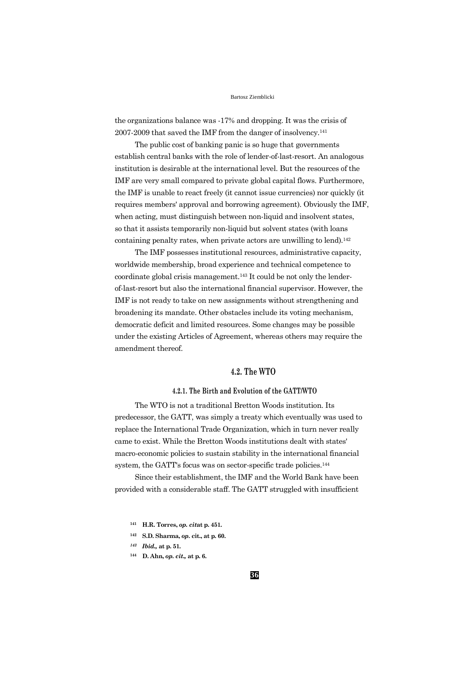the organizations balance was -17% and dropping. It was the crisis of 2007-2009 that saved the IMF from the danger of insolvency.<sup>141</sup>

The public cost of banking panic is so huge that governments establish central banks with the role of lender-of-last-resort. An analogous institution is desirable at the international level. But the resources of the IMF are very small compared to private global capital flows. Furthermore, the IMF is unable to react freely (it cannot issue currencies) nor quickly (it requires members' approval and borrowing agreement). Obviously the IMF, when acting, must distinguish between non-liquid and insolvent states, so that it assists temporarily non-liquid but solvent states (with loans containing penalty rates, when private actors are unwilling to lend).<sup>142</sup>

The IMF possesses institutional resources, administrative capacity, worldwide membership, broad experience and technical competence to coordinate global crisis management.<sup>143</sup> It could be not only the lenderof-last-resort but also the international financial supervisor. However, the IMF is not ready to take on new assignments without strengthening and broadening its mandate. Other obstacles include its voting mechanism, democratic deficit and limited resources. Some changes may be possible under the existing Articles of Agreement, whereas others may require the amendment thereof.

## **4.2. The WTO**

## **4.2.1. The Birth and Evolution of the GATT/WTO**

The WTO is not a traditional Bretton Woods institution. Its predecessor, the GATT, was simply a treaty which eventually was used to replace the International Trade Organization, which in turn never really came to exist. While the Bretton Woods institutions dealt with states' macro-economic policies to sustain stability in the international financial system, the GATT's focus was on sector-specific trade policies.<sup>144</sup>

Since their establishment, the IMF and the World Bank have been provided with a considerable staff. The GATT struggled with insufficient

- **<sup>141</sup> H.R. Torres,** *op. cit***at p. 451.**
- **<sup>142</sup> S.D. Sharma,** *op.* **cit., at p. 60.**
- *<sup>143</sup> Ibid.,* **at p. 51.**
- **<sup>144</sup> D. Ahn,** *op. cit.,* **at p. 6.**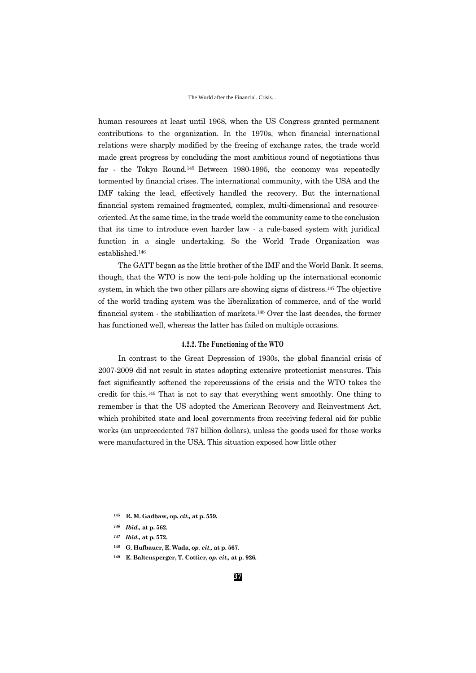human resources at least until 1968, when the US Congress granted permanent contributions to the organization. In the 1970s, when financial international relations were sharply modified by the freeing of exchange rates, the trade world made great progress by concluding the most ambitious round of negotiations thus far - the Tokyo Round.145 Between 1980-1995, the economy was repeatedly tormented by financial crises. The international community, with the USA and the IMF taking the lead, effectively handled the recovery. But the international financial system remained fragmented, complex, multi-dimensional and resourceoriented. At the same time, in the trade world the community came to the conclusion that its time to introduce even harder law - a rule-based system with juridical function in a single undertaking. So the World Trade Organization was established.<sup>146</sup>

The GATT began as the little brother of the IMF and the World Bank. It seems, though, that the WTO is now the tent-pole holding up the international economic system, in which the two other pillars are showing signs of distress.<sup>147</sup> The objective of the world trading system was the liberalization of commerce, and of the world financial system - the stabilization of markets.<sup>148</sup> Over the last decades, the former has functioned well, whereas the latter has failed on multiple occasions.

### **4.2.2. The Functioning of the WTO**

In contrast to the Great Depression of 1930s, the global financial crisis of 2007-2009 did not result in states adopting extensive protectionist measures. This fact significantly softened the repercussions of the crisis and the WTO takes the credit for this.<sup>149</sup> That is not to say that everything went smoothly. One thing to remember is that the US adopted the American Recovery and Reinvestment Act, which prohibited state and local governments from receiving federal aid for public works (an unprecedented 787 billion dollars), unless the goods used for those works were manufactured in the USA. This situation exposed how little other

- **<sup>145</sup> R. M. Gadbaw, op.** *cit.,* **at p. 559.**
- *<sup>146</sup> Ibid.,* **at p. 562.**
- *<sup>147</sup> Ibid.,* **at p. 572.**
- **<sup>148</sup> G. Hufbauer, E. Wada,** *op. cit.,* **at p. 567.**
- **<sup>149</sup> E. Baltensperger, T. Cottier,** *op. cit.,* **at p. 926.**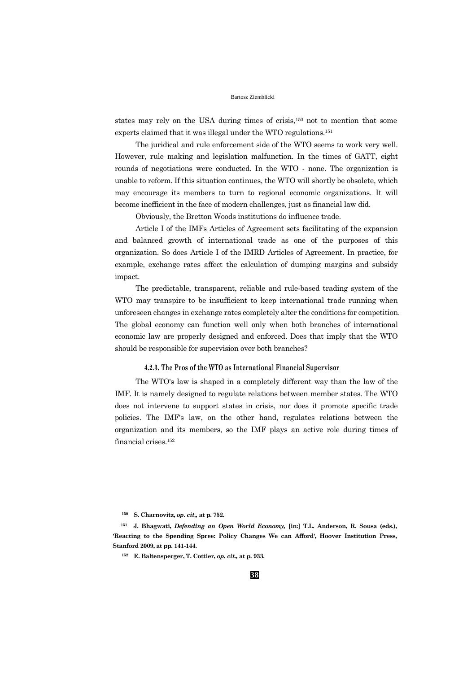states may rely on the USA during times of crisis,<sup>150</sup> not to mention that some experts claimed that it was illegal under the WTO regulations.<sup>151</sup>

The juridical and rule enforcement side of the WTO seems to work very well. However, rule making and legislation malfunction. In the times of GATT, eight rounds of negotiations were conducted. In the WTO - none. The organization is unable to reform. If this situation continues, the WTO will shortly be obsolete, which may encourage its members to turn to regional economic organizations. It will become inefficient in the face of modern challenges, just as financial law did.

Obviously, the Bretton Woods institutions do influence trade.

Article I of the IMFs Articles of Agreement sets facilitating of the expansion and balanced growth of international trade as one of the purposes of this organization. So does Article I of the IMRD Articles of Agreement. In practice, for example, exchange rates affect the calculation of dumping margins and subsidy impact.

The predictable, transparent, reliable and rule-based trading system of the WTO may transpire to be insufficient to keep international trade running when unforeseen changes in exchange rates completely alter the conditions for competition. The global economy can function well only when both branches of international economic law are properly designed and enforced. Does that imply that the WTO should be responsible for supervision over both branches?

### **4.2.3. The Pros of the WTO as International Financial Supervisor**

The WTO's law is shaped in a completely different way than the law of the IMF. It is namely designed to regulate relations between member states. The WTO does not intervene to support states in crisis, nor does it promote specific trade policies. The IMF's law, on the other hand, regulates relations between the organization and its members, so the IMF plays an active role during times of financial crises.<sup>152</sup>

**<sup>150</sup> S. Charnovitz,** *op. cit.,* **at p. 752.**

**<sup>151</sup> J. Bhagwati,** *Defending an Open World Economy,* **[in:] T.L. Anderson, R. Sousa (eds.), 'Reacting to the Spending Spree: Policy Changes We can Afford', Hoover Institution Press, Stanford 2009, at pp. 141-144.**

**<sup>152</sup> E. Baltensperger, T. Cottier,** *op. cit.,* **at p. 933.**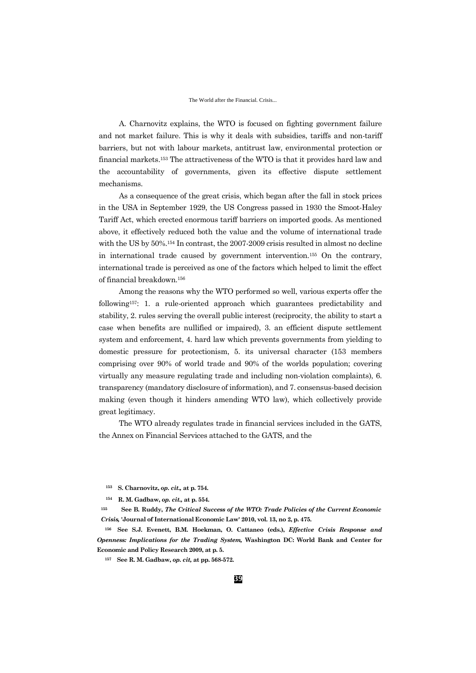#### The World after the Financial. Crisis...

A. Charnovitz explains, the WTO is focused on fighting government failure and not market failure. This is why it deals with subsidies, tariffs and non-tariff barriers, but not with labour markets, antitrust law, environmental protection or financial markets.<sup>153</sup> The attractiveness of the WTO is that it provides hard law and the accountability of governments, given its effective dispute settlement mechanisms.

As a consequence of the great crisis, which began after the fall in stock prices in the USA in September 1929, the US Congress passed in 1930 the Smoot-Haley Tariff Act, which erected enormous tariff barriers on imported goods. As mentioned above, it effectively reduced both the value and the volume of international trade with the US by  $50\%$ .<sup>154</sup> In contrast, the 2007-2009 crisis resulted in almost no decline in international trade caused by government intervention.<sup>155</sup> On the contrary, international trade is perceived as one of the factors which helped to limit the effect of financial breakdown.<sup>156</sup>

Among the reasons why the WTO performed so well, various experts offer the following157: 1. a rule-oriented approach which guarantees predictability and stability, 2. rules serving the overall public interest (reciprocity, the ability to start a case when benefits are nullified or impaired), 3. an efficient dispute settlement system and enforcement, 4. hard law which prevents governments from yielding to domestic pressure for protectionism, 5. its universal character (153 members comprising over 90% of world trade and 90% of the worlds population; covering virtually any measure regulating trade and including non-violation complaints), 6. transparency (mandatory disclosure of information), and 7. consensus-based decision making (even though it hinders amending WTO law), which collectively provide great legitimacy.

The WTO already regulates trade in financial services included in the GATS, the Annex on Financial Services attached to the GATS, and the

**<sup>153</sup> S. Charnovitz,** *op. cit.,* **at p. 754.**

**<sup>154</sup> R. M. Gadbaw,** *op. cit.,* **at p. 554.**

**<sup>155</sup> See B. Ruddy,** *The Critical Success of the WTO: Trade Policies of the Current Economic Crisis,* **'Journal of International Economic Law' 2010, vol. 13, no 2, p. 475.**

**<sup>156</sup> See S.J. Evenett, B.M. Hoekman, O. Cattaneo (eds.),** *Effective Crisis Response and Openness: Implications for the Trading System,* **Washington DC: World Bank and Center for Economic and Policy Research 2009, at p. 5.**

**<sup>157</sup> See R. M. Gadbaw,** *op. cit,* **at pp. 568-572.**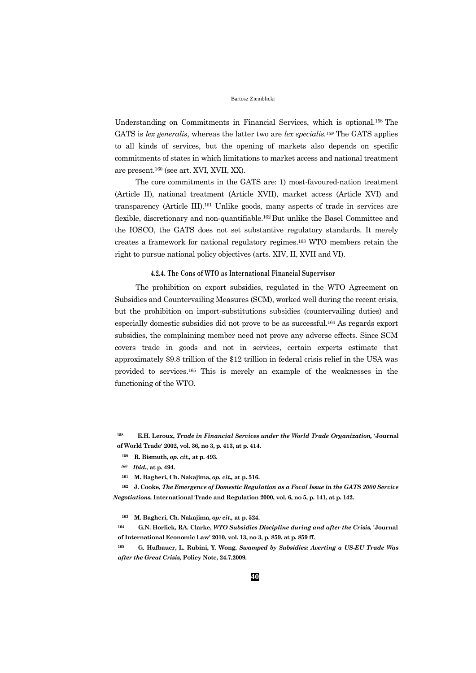Understanding on Commitments in Financial Services, which is optional.158 The GATS is *lex generalis*, whereas the latter two are *lex specialis.<sup>159</sup>* The GATS applies to all kinds of services, but the opening of markets also depends on specific commitments of states in which limitations to market access and national treatment are present.<sup>160</sup> (see art. XVI, XVII, XX).

The core commitments in the GATS are: 1) most-favoured-nation treatment (Article II), national treatment (Article XVII), market access (Article XVI) and transparency (Article III).<sup>161</sup> Unlike goods, many aspects of trade in services are flexible, discretionary and non-quantifiable.162 But unlike the Basel Committee and the IOSCO, the GATS does not set substantive regulatory standards. It merely creates a framework for national regulatory regimes.<sup>163</sup> WTO members retain the right to pursue national policy objectives (arts. XIV, II, XVII and VI).

### **4.2.4. The Cons of WTO as International Financial Supervisor**

The prohibition on export subsidies, regulated in the WTO Agreement on Subsidies and Countervailing Measures (SCM), worked well during the recent crisis, but the prohibition on import-substitutions subsidies (countervailing duties) and especially domestic subsidies did not prove to be as successful.<sup>164</sup> As regards export subsidies, the complaining member need not prove any adverse effects. Since SCM covers trade in goods and not in services, certain experts estimate that approximately \$9.8 trillion of the \$12 trillion in federal crisis relief in the USA was provided to services.<sup>165</sup> This is merely an example of the weaknesses in the functioning of the WTO.

**<sup>158</sup> E.H. Leroux,** *Trade in Financial Services under the World Trade Organization,* **'Journal of World Trade' 2002, vol. 36, no 3, p. 413, at p. 414.**

- **<sup>159</sup> R. Bismuth,** *op. cit.,* **at p. 493.**
- *<sup>160</sup> Ibid.,* **at p. 494.**
- **<sup>161</sup> M. Bagheri, Ch. Nakajima,** *op. cit.,* **at p. 516.**

**<sup>162</sup> J. Cooke,** *The Emergence of Domestic Regulation as a Focal Issue in the GATS 2000 Service Negotiations,* **International Trade and Regulation 2000, vol. 6, no 5, p. 141, at p. 142.**

**<sup>163</sup> M. Bagheri, Ch. Nakajima,** *op: cit.,* **at p. 524.**

**<sup>164</sup> G.N. Horlick, RA. Clarke,** *WTO Subsidies Discipline during and after the Crisis,* **'Journal of International Economic Law' 2010, vol. 13, no 3, p. 859, at p. 859 ff.**

**<sup>165</sup> G. Hufbauer, L. Rubini, Y. Wong,** *Swamped by Subsidies: Averting a US-EU Trade Was after the Great Crisis,* **Policy Note, 24.7.2009.**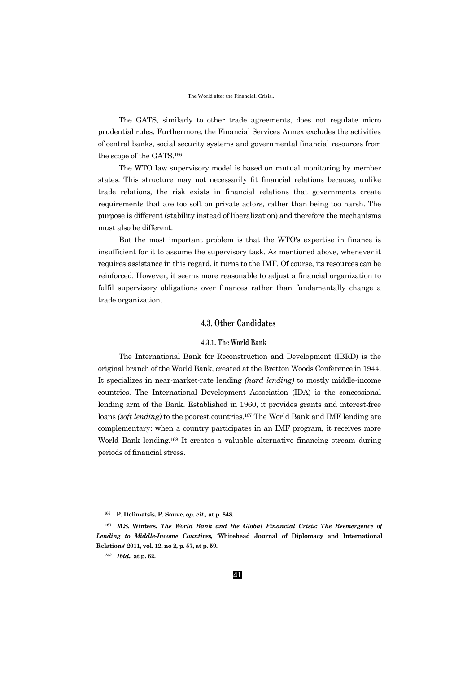The GATS, similarly to other trade agreements, does not regulate micro prudential rules. Furthermore, the Financial Services Annex excludes the activities of central banks, social security systems and governmental financial resources from the scope of the GATS.<sup>166</sup>

The WTO law supervisory model is based on mutual monitoring by member states. This structure may not necessarily fit financial relations because, unlike trade relations, the risk exists in financial relations that governments create requirements that are too soft on private actors, rather than being too harsh. The purpose is different (stability instead of liberalization) and therefore the mechanisms must also be different.

But the most important problem is that the WTO's expertise in finance is insufficient for it to assume the supervisory task. As mentioned above, whenever it requires assistance in this regard, it turns to the IMF. Of course, its resources can be reinforced. However, it seems more reasonable to adjust a financial organization to fulfil supervisory obligations over finances rather than fundamentally change a trade organization.

## **4.3. Other Candidates**

### **4.3.1. The World Bank**

The International Bank for Reconstruction and Development (IBRD) is the original branch of the World Bank, created at the Bretton Woods Conference in 1944. It specializes in near-market-rate lending *(hard lending)* to mostly middle-income countries. The International Development Association (IDA) is the concessional lending arm of the Bank. Established in 1960, it provides grants and interest-free loans *(soft lending)* to the poorest countries.<sup>167</sup> The World Bank and IMF lending are complementary: when a country participates in an IMF program, it receives more World Bank lending.<sup>168</sup> It creates a valuable alternative financing stream during periods of financial stress.

**<sup>167</sup> M.S. Winters,** *The World Bank and the Global Financial Crisis: The Reemergence of Lending to Middle-Income Countires,* **'Whitehead Journal of Diplomacy and International Relations' 2011, vol. 12, no 2, p. 57, at p. 59.**

**<sup>166</sup> P. Delimatsis, P. Sauve,** *op. cit.,* **at p. 848.**

*<sup>168</sup> Ibid.,* **at p. 62.**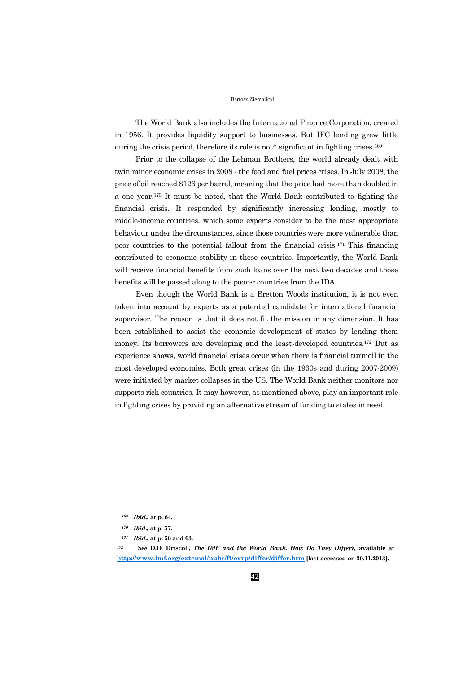The World Bank also includes the International Finance Corporation, created in 1956. It provides liquidity support to businesses. But IFC lending grew little during the crisis period, therefore its role is not $\wedge$  significant in fighting crises.<sup>169</sup>

Prior to the collapse of the Lehman Brothers, the world already dealt with twin minor economic crises in 2008 - the food and fuel prices crises. In July 2008, the price of oil reached \$126 per barrel, meaning that the price had more than doubled in a one year.<sup>170</sup> It must be noted, that the World Bank contributed to fighting the financial crisis. It responded by significantly increasing lending, mostly to middle-income countries, which some experts consider to be the most appropriate behaviour under the circumstances, since those countries were more vulnerable than poor countries to the potential fallout from the financial crisis.<sup>171</sup> This financing contributed to economic stability in these countries. Importantly, the World Bank will receive financial benefits from such loans over the next two decades and those benefits will be passed along to the poorer countries from the IDA.

Even though the World Bank is a Bretton Woods institution, it is not even taken into account by experts as a potential candidate for international financial supervisor. The reason is that it does not fit the mission in any dimension. It has been established to assist the economic development of states by lending them money. Its borrowers are developing and the least-developed countries.<sup>172</sup> But as experience shows, world financial crises occur when there is financial turmoil in the most developed economies. Both great crises (in the 1930s and during 2007-2009) were initiated by market collapses in the US. The World Bank neither monitors nor supports rich countries. It may however, as mentioned above, play an important role in fighting crises by providing an alternative stream of funding to states in need.

*<sup>172</sup> See* **D.D. Driscoll,** *The IMF and the World Bank. How Do They Differ?,* **available at <http://www.imf.org/extemal/pubs/ft/exrp/differ/differ.htm> [last accessed on 30.11.2013].**

*<sup>169</sup> Ibid.,* **at p. 64.**

*<sup>170</sup> Ibid.,* **at p. 57.**

*<sup>171</sup> Ibid.,* **at p. 58 and 63.**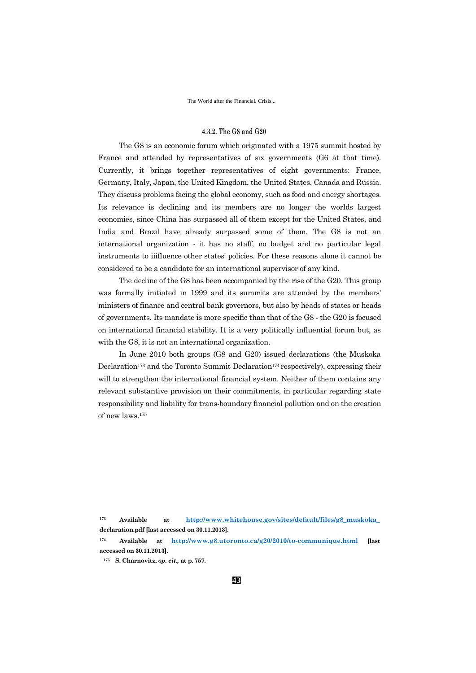The World after the Financial. Crisis...

### **4.3.2. The G8 and G20**

The G8 is an economic forum which originated with a 1975 summit hosted by France and attended by representatives of six governments (G6 at that time). Currently, it brings together representatives of eight governments: France, Germany, Italy, Japan, the United Kingdom, the United States, Canada and Russia. They discuss problems facing the global economy, such as food and energy shortages. Its relevance is declining and its members are no longer the worlds largest economies, since China has surpassed all of them except for the United States, and India and Brazil have already surpassed some of them. The G8 is not an international organization - it has no staff, no budget and no particular legal instruments to iiifluence other states' policies. For these reasons alone it cannot be considered to be a candidate for an international supervisor of any kind.

The decline of the G8 has been accompanied by the rise of the G20. This group was formally initiated in 1999 and its summits are attended by the members' ministers of finance and central bank governors, but also by heads of states or heads of governments. Its mandate is more specific than that of the G8 - the G20 is focused on international financial stability. It is a very politically influential forum but, as with the G8, it is not an international organization.

In June 2010 both groups (G8 and G20) issued declarations (the Muskoka Declaration<sup>173</sup> and the Toronto Summit Declaration<sup>174</sup> respectively), expressing their will to strengthen the international financial system. Neither of them contains any relevant substantive provision on their commitments, in particular regarding state responsibility and liability for trans-boundary financial pollution and on the creation of new laws.<sup>175</sup>

**<sup>173</sup> Available at [http://www.whitehouse.gov/sites/default/files/g8\\_muskoka\\_](http://www.whitehouse.gov/sites/default/files/g8_muskoka_) declaration.pdf [last accessed on 30.11.2013].**

**<sup>174</sup> Available at <http://www.g8.utoronto.ca/g20/2010/to-communique.html> [last accessed on 30.11.2013].**

**<sup>175</sup> S. Charnovitz,** *op. cit.,* **at p. 757.**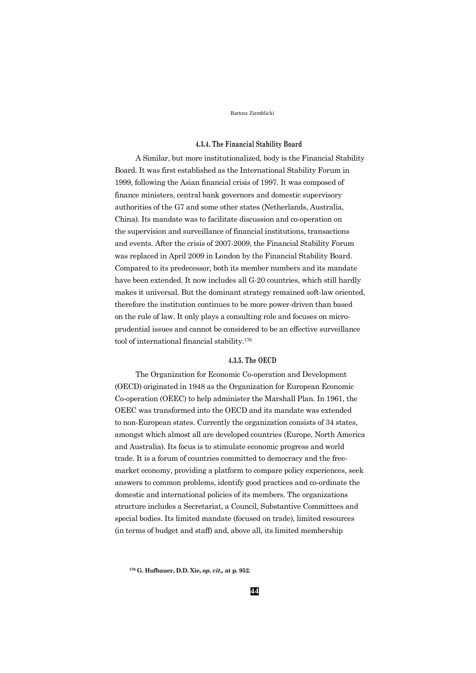## **4.3.4. The Financial Stability Board**

A Similar, but more institutionalized, body is the Financial Stability Board. It was first established as the International Stability Forum in 1999, following the Asian financial crisis of 1997. It was composed of finance ministers, central bank governors and domestic supervisory authorities of the G7 and some other states (Netherlands, Australia, China). Its mandate was to facilitate discussion and co-operation on the supervision and surveillance of financial institutions, transactions and events. After the crisis of 2007-2009, the Financial Stability Forum was replaced in April 2009 in London by the Financial Stability Board. Compared to its predecessor, both its member numbers and its mandate have been extended. It now includes all G-20 countries, which still hardly makes it universal. But the dominant strategy remained soft-law oriented, therefore the institution continues to be more power-driven than based on the rule of law. It only plays a consulting role and focuses on microprudential issues and cannot be considered to be an effective surveillance tool of international financial stability.<sup>176</sup>

### **4.3.5. The OECD**

The Organization for Economic Co-operation and Development (OECD) originated in 1948 as the Organization for European Economic Co-operation (OEEC) to help administer the Marshall Plan. In 1961, the OEEC was transformed into the OECD and its mandate was extended to non-European states. Currently the organization consists of 34 states, amongst which almost all are developed countries (Europe, North America and Australia). Its focus is to stimulate economic progress and world trade. It is a forum of countries committed to democracy and the freemarket economy, providing a platform to compare policy experiences, seek answers to common problems, identify good practices and co-ordinate the domestic and international policies of its members. The organizations structure includes a Secretariat, a Council, Substantive Committees and special bodies. Its limited mandate (focused on trade), limited resources (in terms of budget and staff) and, above all, its limited membership

**<sup>176</sup> G. Hufbauer, D.D. Xie,** *op. cit.,* **at p. 952.**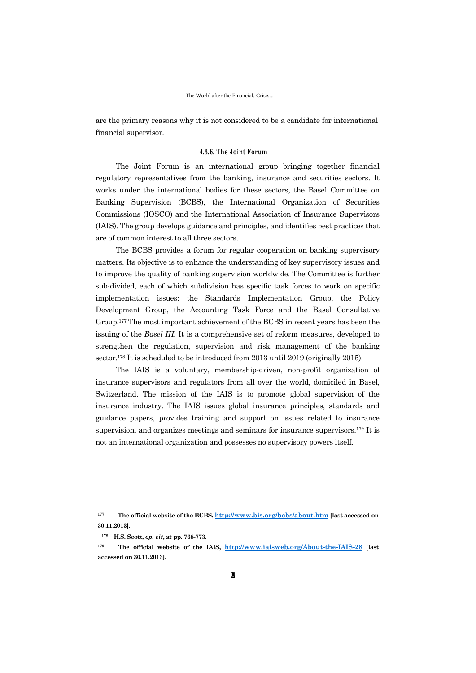are the primary reasons why it is not considered to be a candidate for international financial supervisor.

### **4.3.6. The Joint Forum**

The Joint Forum is an international group bringing together financial regulatory representatives from the banking, insurance and securities sectors. It works under the international bodies for these sectors, the Basel Committee on Banking Supervision (BCBS), the International Organization of Securities Commissions (IOSCO) and the International Association of Insurance Supervisors (IAIS). The group develops guidance and principles, and identifies best practices that are of common interest to all three sectors.

The BCBS provides a forum for regular cooperation on banking supervisory matters. Its objective is to enhance the understanding of key supervisory issues and to improve the quality of banking supervision worldwide. The Committee is further sub-divided, each of which subdivision has specific task forces to work on specific implementation issues: the Standards Implementation Group, the Policy Development Group, the Accounting Task Force and the Basel Consultative Group.<sup>177</sup> The most important achievement of the BCBS in recent years has been the issuing of the *Basel III.* It is a comprehensive set of reform measures, developed to strengthen the regulation, supervision and risk management of the banking sector.<sup>178</sup> It is scheduled to be introduced from 2013 until 2019 (originally 2015).

The IAIS is a voluntary, membership-driven, non-profit organization of insurance supervisors and regulators from all over the world, domiciled in Basel, Switzerland. The mission of the IAIS is to promote global supervision of the insurance industry. The IAIS issues global insurance principles, standards and guidance papers, provides training and support on issues related to insurance supervision, and organizes meetings and seminars for insurance supervisors.<sup>179</sup> It is not an international organization and possesses no supervisory powers itself.

**<sup>177</sup> The official website of the BCBS, <http://www.bis.org/bcbs/about.htm> [last accessed on 30.11.2013].**

**<sup>178</sup> H.S. Scott,** *op. cit***, at pp. 768-773.**

**<sup>179</sup> The official website of the IAIS, <http://www.iaisweb.org/About-the-IAIS-28> [last accessed on 30.11.2013].**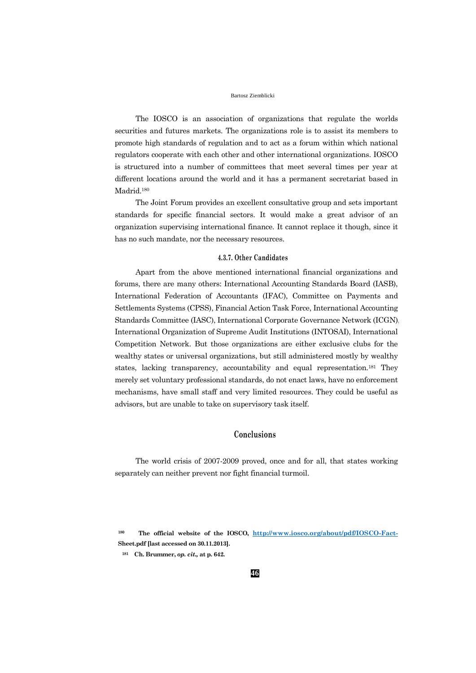The IOSCO is an association of organizations that regulate the worlds securities and futures markets. The organizations role is to assist its members to promote high standards of regulation and to act as a forum within which national regulators cooperate with each other and other international organizations. IOSCO is structured into a number of committees that meet several times per year at different locations around the world and it has a permanent secretariat based in Madrid.<sup>180</sup>

The Joint Forum provides an excellent consultative group and sets important standards for specific financial sectors. It would make a great advisor of an organization supervising international finance. It cannot replace it though, since it has no such mandate, nor the necessary resources.

## **4.3.7. Other Candidates**

Apart from the above mentioned international financial organizations and forums, there are many others: International Accounting Standards Board (IASB), International Federation of Accountants (IFAC), Committee on Payments and Settlements Systems (CPSS), Financial Action Task Force, International Accounting Standards Committee (IASC), International Corporate Governance Network (ICGN), International Organization of Supreme Audit Institutions (INTOSAI), International Competition Network. But those organizations are either exclusive clubs for the wealthy states or universal organizations, but still administered mostly by wealthy states, lacking transparency, accountability and equal representation.<sup>181</sup> They merely set voluntary professional standards, do not enact laws, have no enforcement mechanisms, have small staff and very limited resources. They could be useful as advisors, but are unable to take on supervisory task itself.

## **Conclusions**

The world crisis of 2007-2009 proved, once and for all, that states working separately can neither prevent nor fight financial turmoil.

**<sup>180</sup> The official website of the IOSCO, <http://www.iosco.org/about/pdf/IOSCO-Fact->Sheet.pdf [last accessed on 30.11.2013].**

**<sup>181</sup> Ch. Brummer,** *op. cit.,* **at p. 642.**